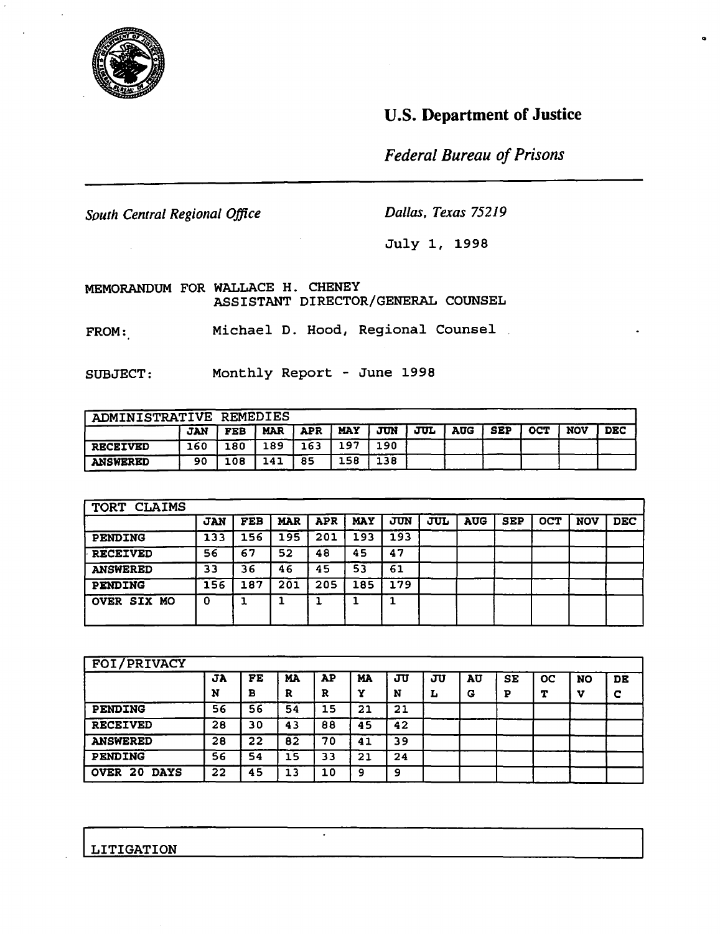

## U.S. Department of Justice

o

*Federal Bureau of Prisons* 

*South Central Regional Office Dallas. Texas 75219*

July 1, 1998

MEMORANDUM FOR WALLACE H. CHENEY ASSISTANT DIRECTOR/GENERAL COUNSEL

FROM: Michael D. Hood, Regional Counsel

SUBJECT: Monthly Report - June 1998

| ADMINISTRATIVE REMEDIES |            |            |            |            |            |     |     |            |            |            |            |            |
|-------------------------|------------|------------|------------|------------|------------|-----|-----|------------|------------|------------|------------|------------|
|                         | <b>JAN</b> | <b>FEB</b> | <b>MAR</b> | <b>APR</b> | <b>MAY</b> | JUN | JUL | <b>AUG</b> | <b>SEP</b> | <b>OCT</b> | <b>NOV</b> | <b>DEC</b> |
| <b>RECEIVED</b>         | 160        | 180        | .89        | 163        | 197        | 190 |     |            |            |            |            |            |
| <b>ANSWERED</b>         | 90         | 108        | 141        | 85         | 158        | 138 |     |            |            |            |            |            |

| <b>TORT</b><br><b>CLAIMS</b> |            |            |            |            |            |     |     |            |            |            |            |            |
|------------------------------|------------|------------|------------|------------|------------|-----|-----|------------|------------|------------|------------|------------|
|                              | <b>JAN</b> | <b>FEB</b> | <b>MAR</b> | <b>APR</b> | <b>MAY</b> | JUN | JUL | <b>AUG</b> | <b>SEP</b> | <b>OCT</b> | <b>NOV</b> | <b>DEC</b> |
| <b>PENDING</b>               | 133        | 156        | 195        | 201        | 193        | 193 |     |            |            |            |            |            |
| <b>RECEIVED</b>              | 56         | 67         | 52         | 48         | 45         | 47  |     |            |            |            |            |            |
| <b>ANSWERED</b>              | 33         | 36         | 46         | 45         | 53         | 61  |     |            |            |            |            |            |
| <b>PENDING</b>               | 156        | 187        | 201        | 205        | 185        | 179 |     |            |            |            |            |            |
| <b>OVER SIX MO</b>           | 0          |            |            |            |            |     |     |            |            |            |            |            |

| FOI/PRIVACY                       |    |    |    |    |    |    |   |    |    |             |           |    |
|-----------------------------------|----|----|----|----|----|----|---|----|----|-------------|-----------|----|
|                                   | JA | FE | MA | AP | MA | ஶ  | ஶ | AU | SE | $_{\rm oc}$ | <b>NO</b> | DE |
|                                   | N  | в  | R  | R  | v  | N  | ⊥ | G  | P  | т           | v         | c  |
| <b>PENDING</b>                    | 56 | 56 | 54 | 15 | 21 | 21 |   |    |    |             |           |    |
| <b>RECEIVED</b>                   | 28 | 30 | 43 | 88 | 45 | 42 |   |    |    |             |           |    |
| <b>ANSWERED</b>                   | 28 | 22 | 82 | 70 | 41 | 39 |   |    |    |             |           |    |
| <b>PENDING</b>                    | 56 | 54 | 15 | 33 | 21 | 24 |   |    |    |             |           |    |
| -20<br><b>OVER</b><br><b>DAYS</b> | 22 | 45 | 13 | 10 | 9  | 9  |   |    |    |             |           |    |

ILITIGATION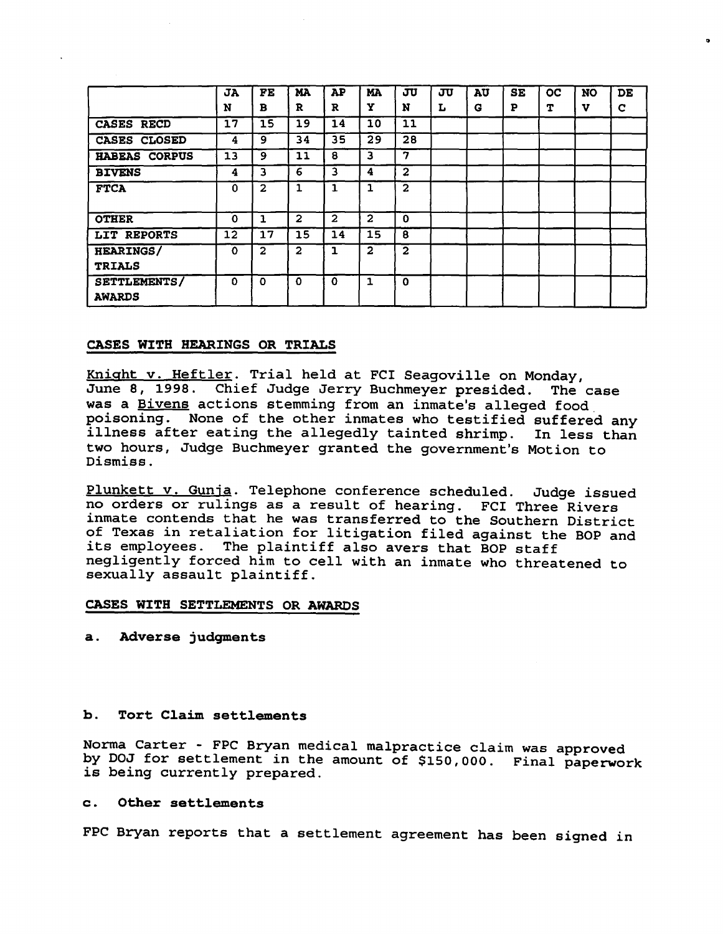|                                   | JA<br>N  | FE<br>в        | <b>MA</b><br>R | AP<br>R      | <b>MA</b><br>Y | JU<br>N        | JU<br>L | AU<br>G | SE<br>P | <b>OC</b><br>т | <b>NO</b><br>v | DE<br>C |
|-----------------------------------|----------|----------------|----------------|--------------|----------------|----------------|---------|---------|---------|----------------|----------------|---------|
| CASES RECD                        | 17       | 15             | 19             | 14           | 10             | 11             |         |         |         |                |                |         |
| CASES CLOSED                      | 4        | 9              | 34             | 35           | 29             | 28             |         |         |         |                |                |         |
| HABEAS CORPUS                     | 13       | 9              | 11             | 8            | 3              | 7              |         |         |         |                |                |         |
| <b>BIVENS</b>                     | 4        | 3              | 6              | 3            | 4              | $\mathbf{2}$   |         |         |         |                |                |         |
| <b>FTCA</b>                       | 0        | $\mathbf{2}$   | 1              |              | 1              | $\mathbf{2}$   |         |         |         |                |                |         |
| <b>OTHER</b>                      | $\Omega$ | 1              | $\mathbf{2}$   | $\mathbf{z}$ | $\mathbf{2}$   | $\mathbf{o}$   |         |         |         |                |                |         |
| LIT REPORTS                       | 12       | 17             | 15             | 14           | 15             | 8              |         |         |         |                |                |         |
| <b>HEARINGS/</b><br><b>TRIALS</b> | $\Omega$ | $\overline{2}$ | $\mathbf{2}$   | ı            | $\overline{2}$ | $\overline{2}$ |         |         |         |                |                |         |
| SETTLEMENTS/<br><b>AWARDS</b>     | 0        | O              | $\Omega$       | 0            | 1              | $\Omega$       |         |         |         |                |                |         |

..

#### CASES WITH HEARINGS OR TRIALS

Kniaht v. HeftIer. Trial held at FCI Seagoville on Monday, June 8, 1998. Chief Judge Jerry Buchmeyer presided. The case was a Bivens actions stemming from an inmate's alleged food poisoning. None of the other inmates who testified suffered any illness after eating the allegedly tainted shrimp. In less than illness after eating the allegedly tainted shrimp. two hours, Judge Buchmeyer granted the government's Motion to Dismiss.

Plunkett v. Gunja. Telephone conference scheduled. Judge issued no orders or rulings as <sup>a</sup> result of hearing. FCI Three Rivers inmate contends that he was transferred to the Southern District of Texas in retaliation for litigation filed against the BOP and its employees. The plaintiff also avers that BOP staff negligently forced him to cell with an inmate who threatened to sexually assault plaintiff.

#### CASES WITH SETTLEMENTS OR AWARDS

a. Adverse judgments

#### b. Tort Claim settlements

Norma Carter - FPC Bryan medical malpractice claim was approved by DOJ for settlement in the amount of \$150,000. Final paperwork is being currently prepared.

#### c. Other settlements

FPC Bryan reports that a settlement agreement has been signed in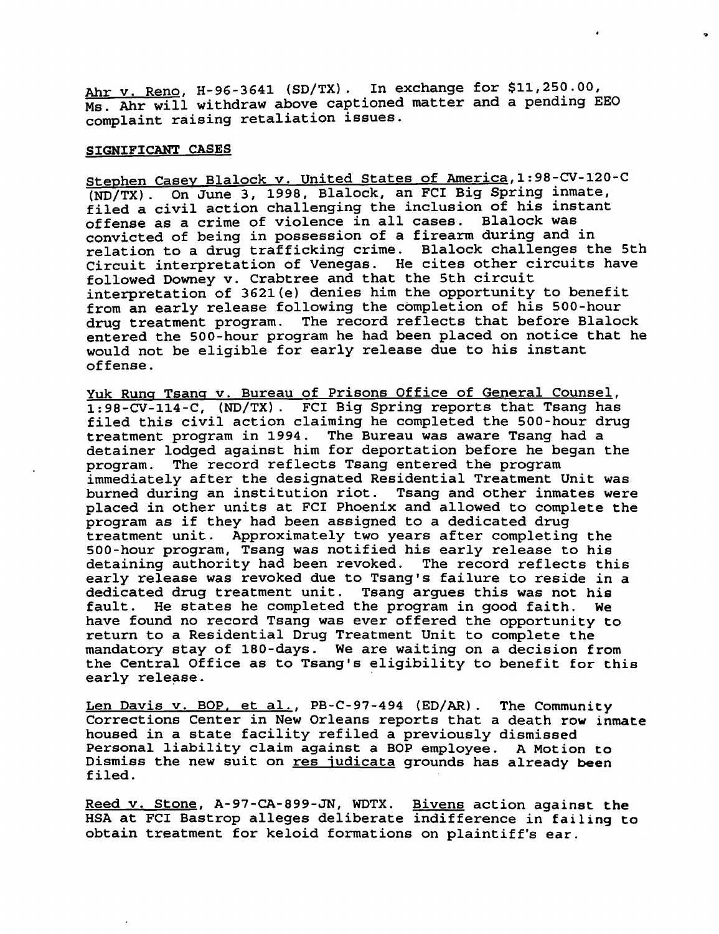Ahr v. Reno, H-96-3641 (SD/TX). In exchange for \$11,250.00, Ms. Ahr will withdraw above captioned matter and a pending EEO complaint raising retaliation issues.

#### SIGNIFICANT CASES

Stephen Casey Blalock v. United States of America,1:98-CV-120-C (ND/TX). On June 3, 1998, Blalock, an FCI Big Spring inmate, filed <sup>a</sup> civil action challenging the inclusion of his instant offense as <sup>a</sup> crime of violence in all cases. Blalock was convicted of being in possession of <sup>a</sup> firearm during and in relation to <sup>a</sup> drug trafficking crime. Blalock challenges the 5th Circuit interpretation of Venegas. He cites other circuits have followed Downey v. Crabtree and that the 5th circuit interpretation of 3621{e) denies him the opportunity to benefit from an early release following the completion of his SOO-hour drug treatment program. The record reflects that before Blalock entered the 500-hour program he had been placed on notice that he would not be eligible for early release due to his instant offense.

Yuk Runq Tsang v. Bureau of Prisons Office of General Counsel, 1:98-CV-114-C, (ND/TX). FCI Big Spring reports that Tsang has filed this civil action claiming he completed the SOO-hour drug treatment program in 1994. The Bureau was aware Tsang had a detainer lodged against him for deportation before he began the<br>program. The record reflects Tsang entered the program The record reflects Tsang entered the program immediately after the designated Residential Treatment Unit was burned during an institution riot. Tsang and other inmates were placed in other units at FCI Phoenix and allowed to complete the program as if they had been assigned to <sup>a</sup> dedicated drug treatment unit. Approximately two years after completing the SOO-hour program, Tsang was notified his early release to his detaining authority had been revoked. The record reflects this early release was revoked due to Tsang's failure to reside in <sup>a</sup> dedicated drug treatment unit. Tsang argues this was not his fault. He states he completed the program in good faith. We have found no record Tsang was ever offered the opportunity to return to a Residential Drug Treatment Unit to complete the mandatory stay of 180-days. We are waiting on a decision from the Central Office as to Tsang's eligibility to benefit for this early release.

Len Davis v. BOP, et al., PB-C-97-494 (ED/AR). The Community Corrections Center in New Orleans reports that <sup>a</sup> death row inmate housed in <sup>a</sup> state facility refiled <sup>a</sup> previously dismissed Personal liability claim against <sup>a</sup> BOP employee. <sup>A</sup> Motion to Dismiss the new suit on res judicata grounds has already been filed.

Reed v. Stone, A-97-CA-899-JN, WDTX. Bivens action against the HSA at FCI Bastrop alleges deliberate indifference in failing to obtain treatment for keloid formations on plaintiff's ear.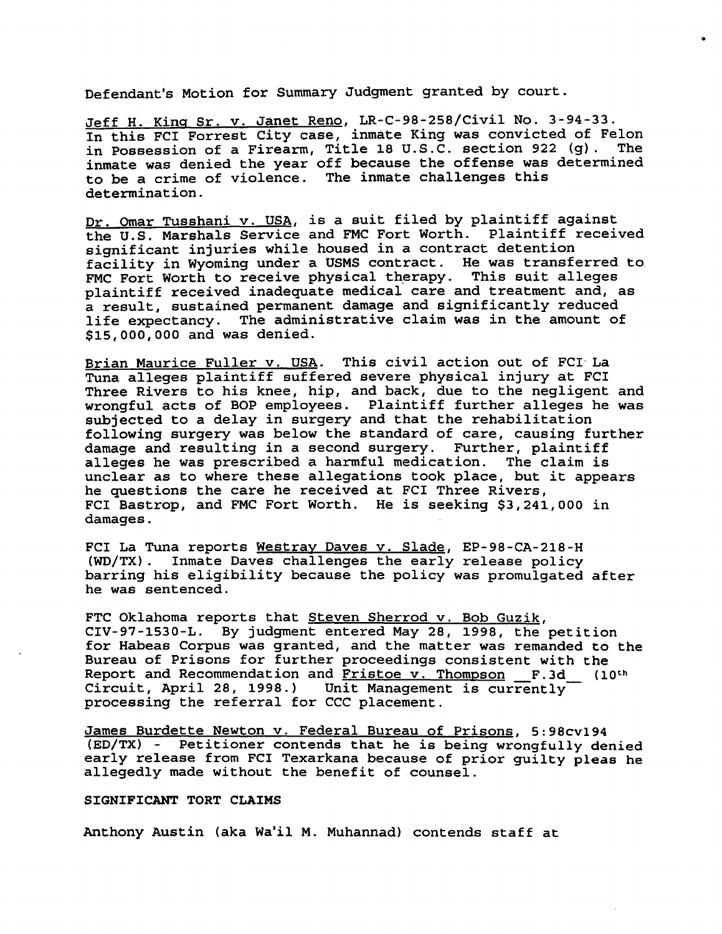Defendant's Motion for Summary Judgment granted by court.

Jeff H. King Sr. v. Janet Reno, LR-C-98-258/Civil No. 3-94-33. In this FCI Forrest City case, inmate King was convicted of Felon in Possession of <sup>a</sup> Firearm, Title 18 U.S.C. section 922 (g). The inmate was denied the year off because the offense was determined to be <sup>a</sup> crime of violence. The inmate challenges this determination.

Dr. Omar Tusshani v. USA, is <sup>a</sup> suit filed by plaintiff against the U.S. Marshals Service and FMC Fort Worth. Plaintiff received significant injuries while housed in <sup>a</sup> contract detention facility in Wyoming under <sup>a</sup> USMS contract. He was transferred to. FMC Fort Worth to receive physical therapy. This suit alleges plaintiff received inadequate medical care and treatment and, as <sup>a</sup> result, sustained permanent damage and significantly reduced life expectancy. The administrative claim was in the amount of \$15,000,000 and was denied.

Brian Maurice Fuller v. USA. This civil action out of FCI La Tuna alleges plaintiff suffered severe physical injury at FCI Three Rivers to his knee, hip, and back, due to the negligent and wrongful acts of BOP employees. Plaintiff further alleges he was subjected to <sup>a</sup> delay in surgery and that the rehabilitation following surgery was below the standard of care, causing further damage and resulting in <sup>a</sup> second surgery. Further, plaintiff alleges he was prescribed <sup>a</sup> harmful medication. The claim is unclear as to where these allegations took place, but it appears he questions the care he received at FCI Three Rivers, FCI Bastrop, and FMC Fort Worth. He is seeking \$3,241,000 in damages.

FCI La Tuna reports Westray Daves v. Slade, EP-98-CA-218-H (WO/TX). Inmate Daves challenges the early release policy barring his eligibility because the policy was promulgated after he was sentenced.

FTC Oklahoma reports that Steven Sherrod v. Bob Guzik, CIV-97-1530-L. By judgment entered May 28, 1998, the petition for Habeas Corpus was granted, and the matter was remanded to the Bureau of Prisons for further proceedings consistent with the Report and Recommendation and <u>Fristoe v. Thompson</u> F.3d (10<sup>th</sup> Report and Recommendation and <u>Fiscoc v. Inompson</u> P.3d<sub>-</sub>-<br>Circuit, April 28, 1998.) Unit Management is currently Circuit, April 28, 1998.) Unit Management is currently processing the referral for CCC placement.

James Burdette Newton v. Federal Bureau of Prisons, 5:98cv194 (ED/TX) - Petitioner contends that he is being wrongfully denied early release from FCI Texarkana because of prior guilty pleas he allegedly made without the benefit of counsel.

#### SIGNIFICANT TORT CLAIMS

Anthony Austin (aka Wa'il M. Muhannad) contends staff at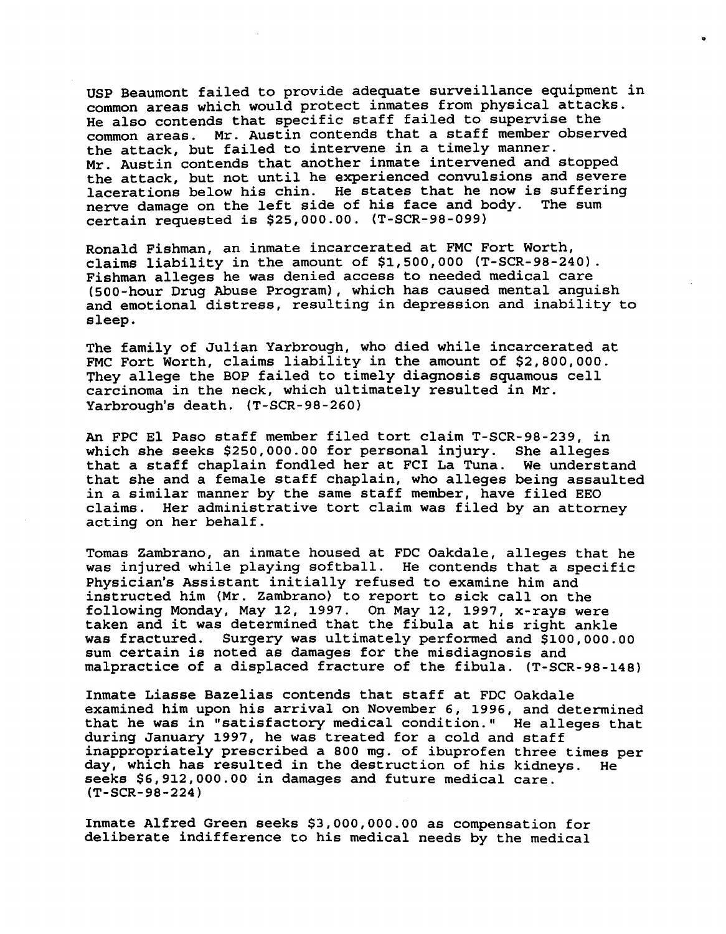USP Beaumont failed to provide adequate surveillance equipment in common areas which would protect inmates from physical attacks. He also contends that specific staff failed to supervise the common areas. Mr. Austin contends that <sup>a</sup> staff member observed the attack, but failed to intervene in <sup>a</sup> timely manner. Mr. Austin contends that another inmate intervened and stopped the attack, but not until he experienced convulsions and severe lacerations below his chin. He states that he now is suffering nerve damage on the left side of his face and body. The sum certain requested is \$25,000.00. (T-SCR-98-099)

..

Ronald Fishman, an inmate incarcerated at FMC Fort Worth, claims liability in the amount of \$1,500,000 (T-SCR-98-240). Fishman alleges he was denied access to needed medical care (500-hour Drug Abuse Program), which has caused mental anguish and emotional distress, resulting in depression and inability to sleep.

The family of Julian Yarbrough, who died while incarcerated at FMC Fort Worth, claims liability in the amount of \$2,800,000. They allege the BOP failed to timely diagnosis squamous cell carcinoma in the neck, which ultimately resulted in Mr. Yarbrough's death. (T-SCR-98 -260)

An FPC EI Paso staff member filed tort claim T-SCR-98-239, in which she seeks \$250,000.00 for personal injury. She alleges that <sup>a</sup> staff chaplain fondled her at FCI La Tuna. We understand that she and <sup>a</sup> female staff chaplain, who alleges being assaulted in <sup>a</sup> similar manner by the same staff member, have filed EEO claims. Her administrative tort claim was filed by an attorney acting on her behalf.

Tomas Zambrano, an inmate housed at FOC Oakdale, alleges that he was injured while playing softball. He contends that <sup>a</sup> specific Physician's Assistant initially refused to examine him and instructed him (Mr. zambrano) to report to sick calIon the following Monday, May 12, 1997. On May 12, 1997, x-rays were taken and it was determined that the fibula at his right ankle was fractured. Surgery was ultimately performed and \$100,000.00 sum certain is noted as damages for the misdiagnosis and malpractice of a displaced fracture of the fibula. (T-SCR-98-148)

Inmate Liasse Bazelias contends that staff at FOC Oakdale examined him upon his arrival on November 6, 1996, and determined that he was in "satisfactory medical condition." He alleges that during January 1997, he was treated for <sup>a</sup> cold and staff inappropriately prescribed a 800 mg. of ibuprofen three times per day, which has resulted in the destruction of his kidneys. He seeks \$6,912,000.00 in damages and future medical care. (T-SCR-98-224)

Inmate Alfred Green seeks \$3,000,000.00 as compensation for deliberate indifference to his medical needs by the medical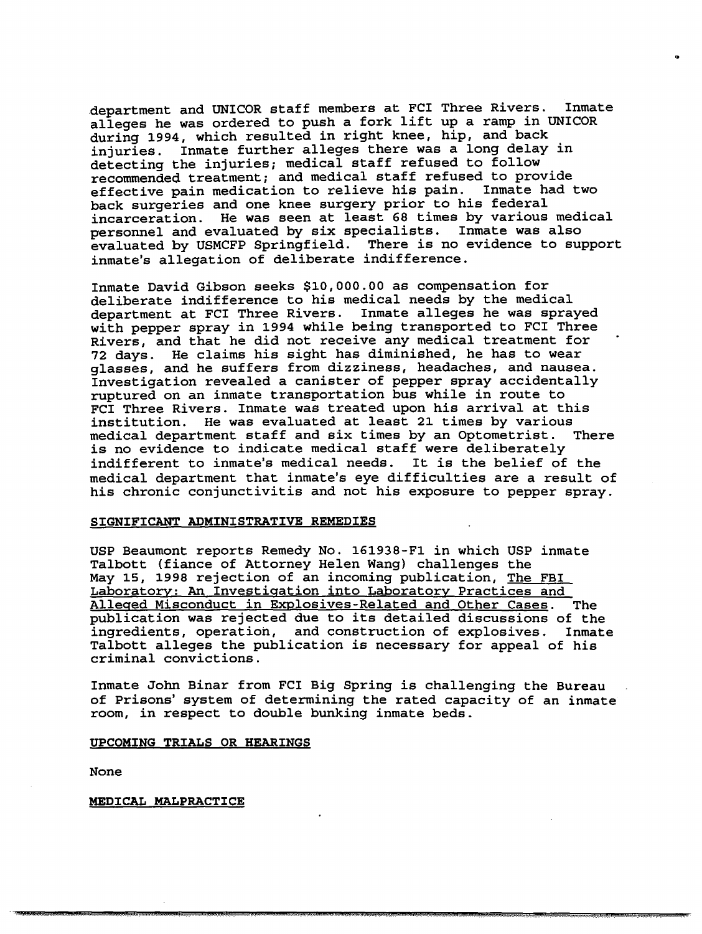department and UNICOR staff members at FCI Three Rivers. Inmate alleges he was ordered to push <sup>a</sup> fork lift up <sup>a</sup> ramp in UNICOR during 1994, which resulted in right knee, hip, and back injuries. Inmate further alleges there was <sup>a</sup> long delay in detecting the injuries; medical staff refused to follow recommended treatment; and medical staff refused to provide<br>effective pain medication to relieve his pain. Inmate had two effective pain medication to relieve his pain. back surgeries and one knee surgery prior to his federal incarceration. He was seen at least 68 times by various medical personnel and evaluated by six specialists. Inmate was also evaluated by USMCFP Springfield. There is no evidence to support inmate's allegation of deliberate indifference.

..

Inmate David Gibson seeks \$10,000.00 as compensation for deliberate indifference to his medical needs by the medical department at FCI Three Rivers. Inmate alleges he was sprayed with pepper spray in 1994 while being transported to FCI Three Rivers, and that he did not receive any medical treatment for 72 days. He claims his sight has diminished, he has to wear glasses, and he suffers from dizziness, headaches, and nausea. Investigation revealed <sup>a</sup> canister of pepper spray accidentally ruptured on an inmate transportation bus while in route to FCI Three Rivers. Inmate was treated upon his arrival at this institution. He was evaluated at least 21 times by various medical department staff and six times by an Optometrist. There is no evidence to indicate medical staff were deliberately indifferent to inmate's medical needs. It is the belief of the medical department that inmate's eye difficulties are <sup>a</sup> result of his chronic conjunctivitis and not his exposure to pepper spray.

#### SIGNIFICANT ADMINISTRATIVE REMEDIES

USP Beaumont reports Remedy No. 161938-F1 in which USP inmate Talbott (fiance of Attorney Helen Wang) challenges the May 15, 1998 rejection of an incoming publication, The FBI Laboratory: An Investigation into Laboratory Practices and Alleged Misconduct in Explosives-Related and Other Cases. The publication was rejected due to its detailed discussions of the ingredients, operation, and construction of explosives. Inmate Talbott alleges the publication is necessary for appeal of his criminal convictions.

Inmate John Binar from FCI Big Spring is challenging the Bureau of Prisons' system of determining the rated capacity of an inmate room, in respect to double bunking inmate beds.

- ... it! *15ttiWl* i6.5t.h <sup>A</sup> *.Jit.i5.tt.AJ .•!"""",,1l* t.tMtt.5\$ew.. *(UWN#.* .1. ,. '." ,iRiP.·

#### UPCOMING TRIALS OR HEARINGS

None

MEDICAL MALPRACTICE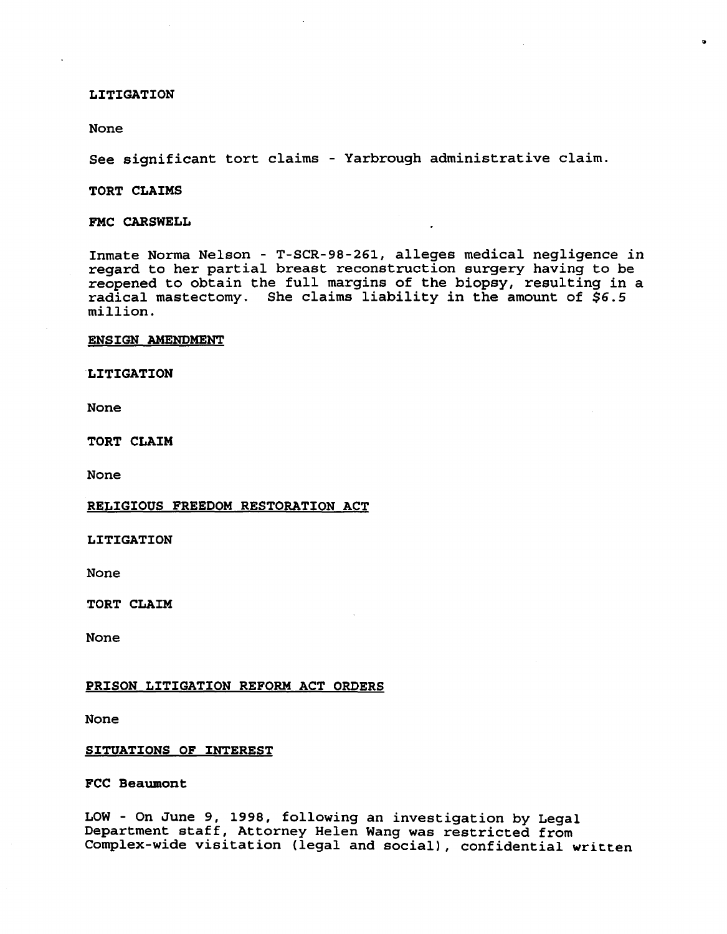#### LITIGATION

#### None

See significant tort claims - Yarbrough administrative claim.

..

#### TORT CLAIMS

#### FMC CARSWELL

Inmate Norma Nelson - T-SCR-98-261, alleges medical negligence in regard to her partial breast reconstruction surgery having to be reopened to obtain the full margins of the biopsy, resulting in <sup>a</sup> radical mastectomy. She claims liability in the amount of  $$6.5$ million.

#### ENSIGN AMENDMENT

#### LITIGATION

None

TORT CLAIM

None

#### RELIGIOUS FREEDOM RESTORATION ACT

LITIGATION

None

TORT CLAIM

None

#### PRISON LITIGATION REFORM ACT ORDERS

None

#### SITUATIONS OF INTEREST

FCC Beaumont

LOW - On June 9, 1998, following an investigation by Legal Department staff, Attorney Helen Wang was restricted from Complex-wide visitation (legal and social), confidential written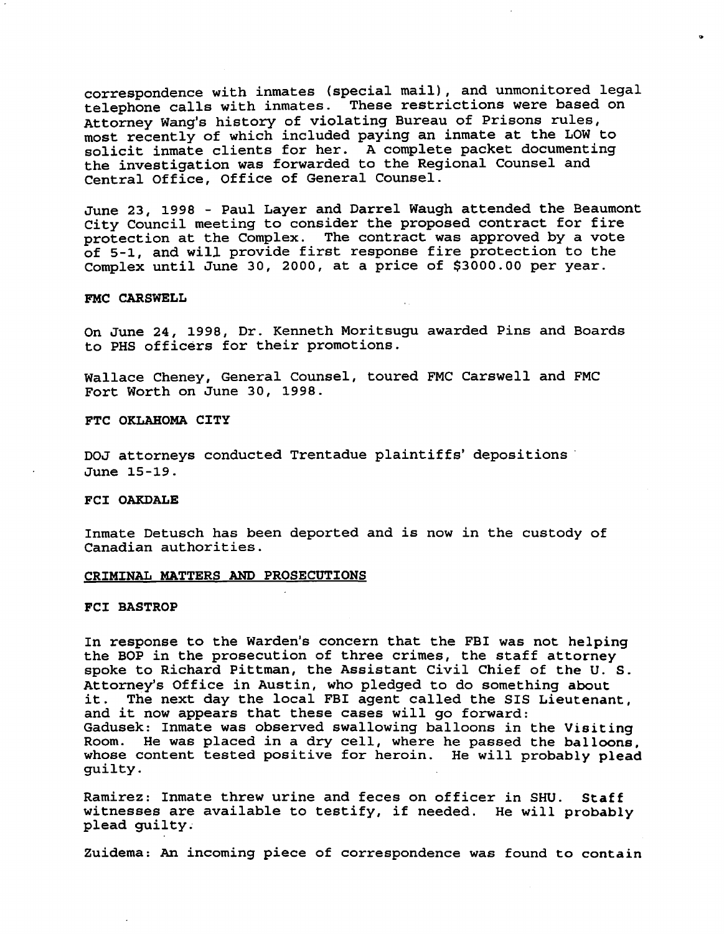correspondence with inmates (special mail), and unmonitored legal telephone calls with inmates. These restrictions were based on Attorney Wang's history of violating Bureau of Prisons rules, most recently of which included paying an inmate at the LOW to solicit inmate clients for her. A complete packet documenting the investigation was forwarded to the Regional Counsel and Central Office, Office of General Counsel.

June 23, 1998 - Paul Layer and Darrel Waugh attended the Beaumont City Council meeting to consider the proposed contract for fire protection at the Complex. The contract was approved by <sup>a</sup> vote of 5-1, and will provide first response fire protection to the Complex until June 30, 2000, at <sup>a</sup> price of \$3000.00 per year.

#### FMC CARSWELL

On June 24, 1998, Dr. Kenneth Moritsugu awarded Pins and Boards to PHS officers for their promotions.

Wallace Cheney, General Counsel, toured FMC Carswell and FMC Fort Worth on June 30, 1998.

FTC OKLAHOMA CITY

DOJ attorneys conducted Trentadue plaintiffs' depositions' June 15-19.

#### FCI OAKDALE

Inmate Detusch has been deported and is now in the custody of Canadian authorities.

#### CRIMINAL MATTERS AND PROSECUTIONS

#### FCI BASTROP

In response to the Warden's concern that the FBI was not helping the BOP in the prosecution of three crimes, the staff attorney spoke to Richard Pittman, the Assistant Civil Chief of the U. S. Attorney's Office in Austin, who pledged to do something about<br>it. The next day the local FBI agent called the SIS Lieutenar The next day the local FBI agent called the SIS Lieutenant, and it now appears that these cases will go forward: Gadusek: Inmate was observed swallowing balloons in the Visiting Room. He was placed in <sup>a</sup> dry cell, where he passed the balloons, whose content tested positive for heroin. He will probably plead guilty.

Ramirez: Inmate threw urine and feces on officer in SHU. Staff witnesses are available to testify, if needed. He will probably plead guilty.

Zuidema: An incoming piece of correspondence was found to contain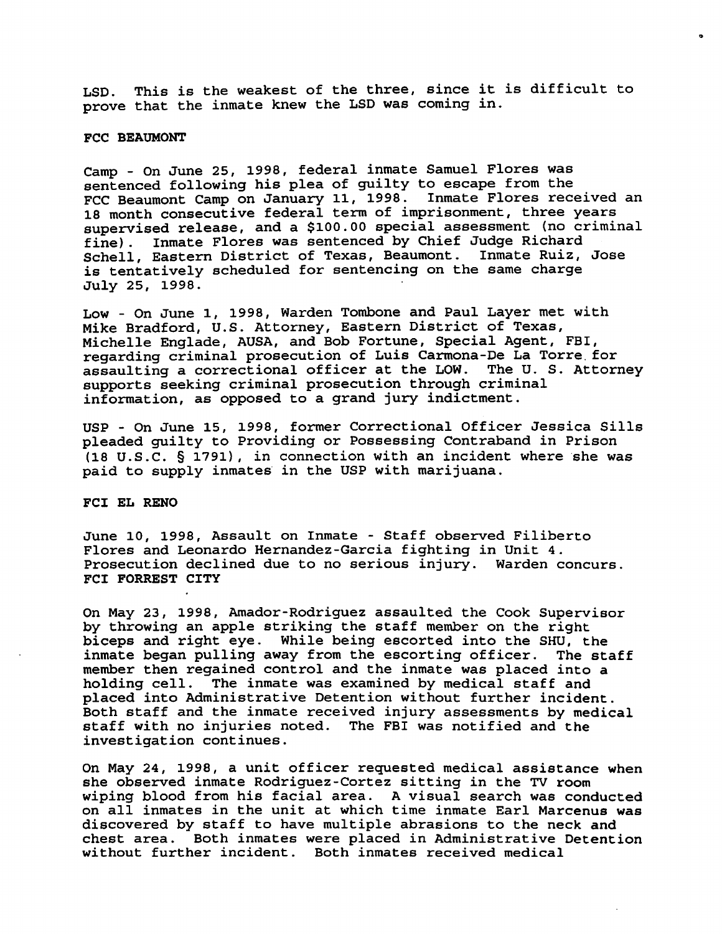LSD. This is the weakest of the three, since it is difficult to prove that the inmate knew the LSD was coming in.

..

#### FCC BEAUMONT

Camp - On June 25, 1998, federal inmate Samuel Flores was sentenced following his plea of guilty to escape from the FCC Beaumont Camp on January 11, 1998. Inmate Flores received an 18 month consecutive federal term of imprisonment, three years supervised release, and a \$100.00 special assessment (no criminal fine). Inmate Flores was sentenced by Chief Judge Richard Schell, Eastern District of Texas, Beaumont. Inmate Ruiz, Jose is tentatively scheduled for sentencing on the same charge July 25, 1998.

Low - On June 1, 1998, Warden Tombone and Paul Layer met with Mike Bradford, U.S. Attorney, Eastern District of Texas, Michelle Englade, AUSA, and Bob Fortune, Special Agent, FBI, regarding criminal prosecution of Luis Carmona-De La Torre. for assaulting <sup>a</sup> correctional officer at the LOW. The U. S. Attorney supports seeking criminal prosecution through criminal information, as opposed to a grand jury indictment.

USP - On June 15, 1998, former Correctional Officer Jessica Sills pleaded guilty to Providing or Possessing Contraband in Prison (18 U.S.C. § 1791), in connection with an incident where she was paid to supply inmates' in the USP with marijuana.

FCI EL RENO

June 10, 1998, Assault on Inmate - Staff observed Filiberto Flores and Leonardo Hernandez-Garcia fighting *in* Unit 4. Prosecution declined due to no serious injury. Warden concurs. FCI FORREST CITY

On May 23, 1998, Amador-Rodriguez assaulted the Cook Supervisor by throwing an apple striking the staff member on the right biceps and right eye. While being escorted into the SHU, the inmate began pulling away from the escorting officer. The staff member then regained control and the inmate was placed into a holding cell. The inmate was examined by medical staff and placed into Administrative Detention without further incident. Both staff and the inmate received injury assessments by medical staff with no injuries noted. The FBI was notified and the investigation continues.

On May 24, 1998, <sup>a</sup> unit officer requested medical assistance when she observed inmate Rodriguez-Cortez sitting *in* the TV room wiping blood from his facial area. <sup>A</sup> visual search was conducted on all inmates in the unit at which time inmate Earl Marcenus was discovered by staff to have multiple abrasions to the neck and chest area. Both inmates were placed in Administrative Detention without further incident. Both inmates received medical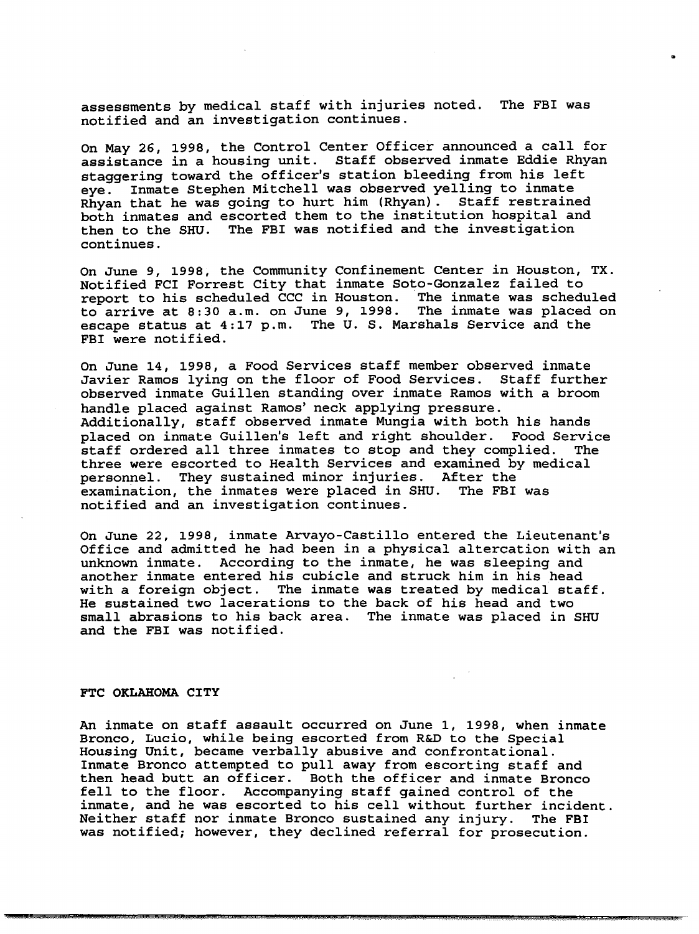assessments by medical staff with injuries noted. The FBI was notified and an investigation continues.

..

On May 26, 1998, the Control Center Officer announced <sup>a</sup> call for assistance in <sup>a</sup> housing unit. staff observed inmate Eddie Rhyan staggering toward the officer's station bleeding from his left eve. Inmate Stephen Mitchell was observed yelling to inmate Rhyan that he was going to hurt him (Rhyan). Staff restrained both inmates and escorted them to the institution hospital and then to the SHU. The FBI was notified and the investigation continues.

On June 9, 1998, the Community Confinement Center in Houston, TX. Notified FCI Forrest City that inmate soto-Gonzalez failed to report to his scheduled CCC in Houston. to arrive at 8:30 a.m. on June 9, 1998. The inmate was placed on escape status at 4:17 p.m. The U. S. Marshals Service and the FBI were notified.

On June 14, 1998, <sup>a</sup> Food Services staff member observed inmate Javier Ramos lying on the floor of Food Services. Staff further observed inmate Guillen standing over inmate Ramos with a broom handle placed against Ramos' neck applying pressure. Additionally, staff observed inmate Mungia with both his hands placed on inmate Guillen's left and right shoulder. Food Service<br>staff ordered all three inmates to stop and they complied. The staff ordered all three inmates to stop and they complied. three were escorted to Health Services and examined by medical personnel. They sustained minor injuries. After the examination, the inmates were placed in SHU. The FBI was notified and an investigation continues.

On June 22, 1998, inmate Arvayo-Castillo entered the Lieutenant's Office and admitted he had been in <sup>a</sup> physical altercation with an unknown inmate. According to the inmate, he was sleeping and another inmate entered his cubicle and struck him in his head with <sup>a</sup> foreign object. The inmate was treated by medical staff. He sustained two lacerations to the back of his head and two small abrasions to his back area. The inmate was placed in SHU and the FBI was notified.

#### FTC OKLAHOMA CITY

An inmate on staff assault occurred on June 1, 1998, when inmate Bronco, Lucio, while being escorted from R&D to the Special Housing Unit, became verbally abusive and confrontational. Inmate Bronco attempted to pull away from escorting staff and then head butt an officer. Both the officer and inmate Bronco fell to the floor. Accompanying staff gained control of the inmate, and he was escorted to his cell without further incident. Neither staff nor inmate Bronco sustained any injury. The FBI was notified; however, they declined referral for prosecution .

.. t. ( <sup>44</sup> i1.£ <sup>t</sup> *tnt..M,* .¥.t.3.s.Q:.c.~"i( .....Ml.i.i&UW-\*. *},t.Q.3.&.tMUJ.t.6,J.* . .. *..t.ht.t.i\$".* 1. *A;..* WJ.IJ.JiJ.U.h.IJ...ID. ,i .&.C.. " <sup>h</sup> , k&.wd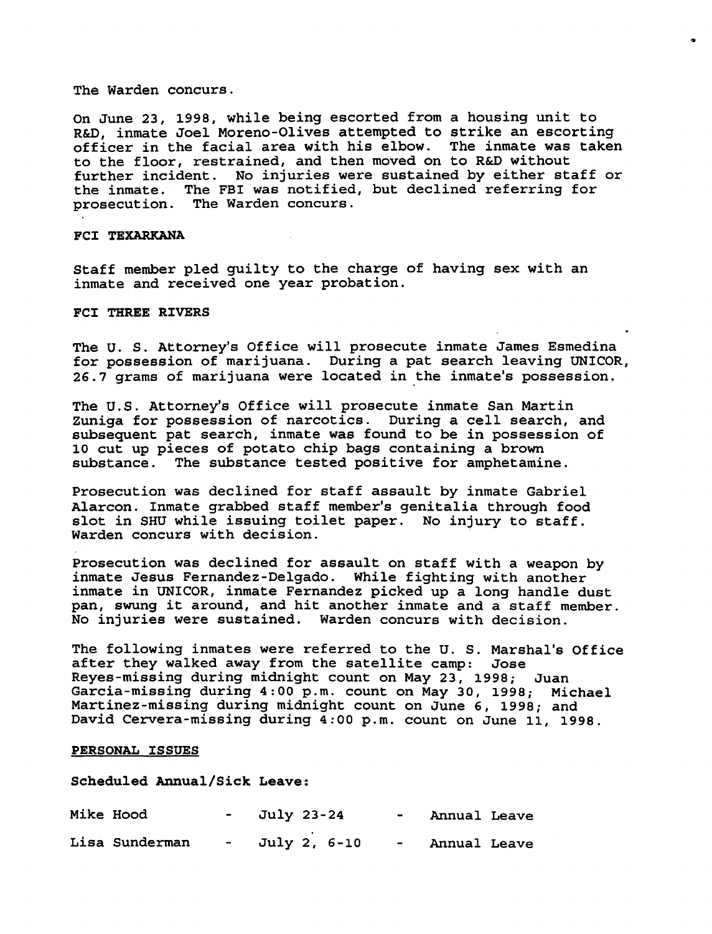The Warden concurs.

On June 23, 1998, while being escorted from <sup>a</sup> housing unit to R&D, inmate Joel Moreno-Olives attempted to strike an escorting officer in the facial area with his elbow. The inmate was taken to the floor, restrained, and then moved on to R&D without further incident. No injuries were sustained by either staff or the inmate. The FBI was notified, but declined referring for prosecution. The Warden concurs.

co

#### FCI TEXARKANA

Staff member pled guilty to the charge of having sex with an inmate and received one year probation.

#### FCI THREE RIVERS

The U. S. Attorney's Office will prosecute inmate James Esmedina for possession of marijuana. During a pat search leaving UNICOR, 26.7 grams of marijuana were located in the inmate's possession,

The U.S. Attorney's Office will prosecute inmate San Martin Zuniga for possession of narcotics. During <sup>a</sup> cell search, and subsequent pat search, inmate was found to be in possession of 10 cut up pieces of potato chip bags containing a brown substance. The substance tested positive for amphetami The substance tested positive for amphetamine.

Prosecution was declined for staff assault by inmate Gabriel Alarcon. Inmate grabbed staff member's genitalia through food slot in SHU while issuing toilet paper. No injury to staff. Warden concurs with decision.

Prosecution was declined for assault on staff with <sup>a</sup> weapon by inmate Jesus Fernandez-Delgado. While fighting with another inmate in UNICOR, inmate Fernandez picked up a long handle dust pan, swung it around, and hit another inmate and <sup>a</sup> staff member. No injuries were sustained. Warden concurs with decision.

The following inmates were referred to the U. S. Marshal's Office after they walked away from the satellite camp: Jose Reyes-missing during midnight count on May 23, 1998; Juan Garcia-missing during 4:00 p.m. count on May 30, 1998; Michael Martinez-missing during midnight count on June 6, 1998; and David Cervera-missing during 4:00 p.m. count on June 11, 1998.

#### PERSONAL ISSUES

#### Scheduled Annual/Sick Leave:

| Mike Hood      |               | $-$ July 23-24 |  | Annual Leave   |  |
|----------------|---------------|----------------|--|----------------|--|
| Lisa Sunderman | $\sim$ $\sim$ | July 2, 6-10   |  | - Annual Leave |  |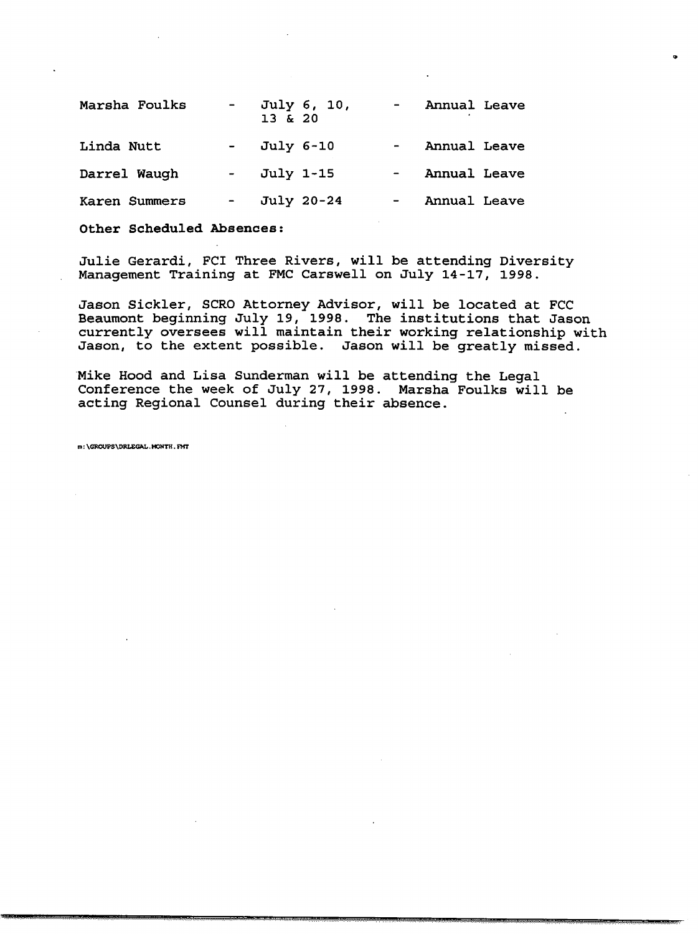| Marsha Foulks | $\blacksquare$   | July 6, 10,<br>13 & 20 |                  | Annual Leave |  |
|---------------|------------------|------------------------|------------------|--------------|--|
| Linda Nutt    |                  | July 6-10              | $\sim$ 100 $\mu$ | Annual Leave |  |
| Darrel Waugh  | $\sim$ 100 $\mu$ | July 1-15              |                  | Annual Leave |  |
| Karen Summers |                  | July 20-24             |                  | Annual Leave |  |

Other Scheduled Absences:

Julie Gerardi, FCI Three Rivers, will be attending Diversity Management Training at FMC Carswell on July 14-17, 1998.

Jason Sickler, SCRO Attorney Advisor, will be located at FCC Beaumont beginning July 19, 1998. The institutions that Jason currently oversees will maintain their working relationship with Jason, to the extent possible. Jason will be greatly missed.

Mike Hood and Lisa Sunderman will be attending the Legal Conference the week of July 27, 1998. Marsha Foulks will be acting Regional Counsel during their absence .

1.11 i. **4.£66** <sup>11</sup> li6 *...t.J.tv...X,:;.&.* ..iwat.t. o..::v.(Q.Q.w w:v:w:v::MQMXMMiM. !! .'.Q.J.&.vn h.. ."A( i.e.G .

m: \GROUPS\DRLEGAL.MONTH. FMT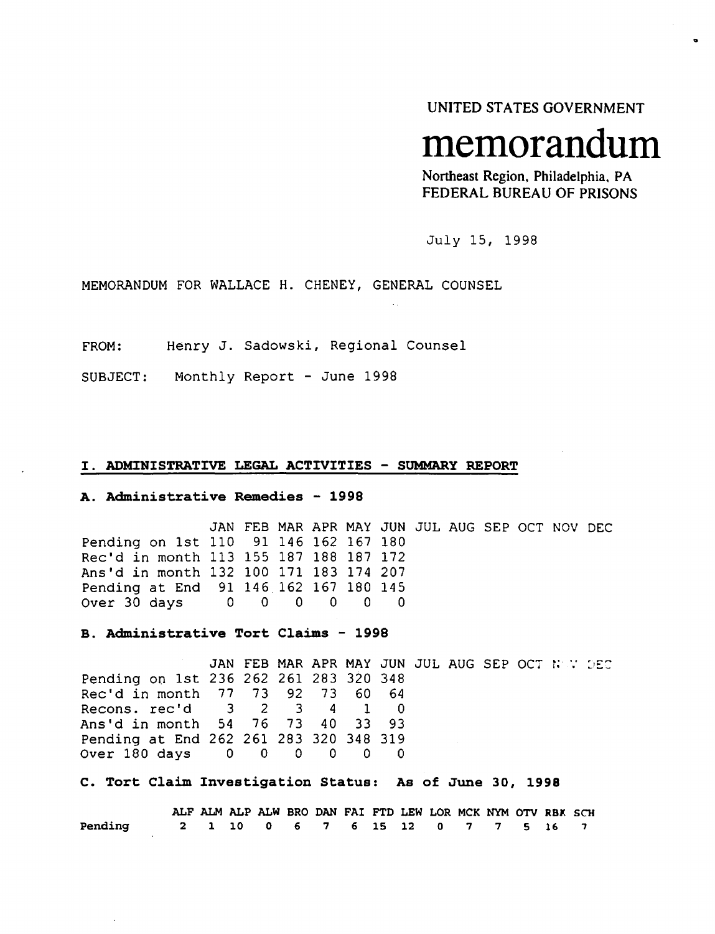UNITED STATES GOVERNMENT

..

# **memorandum**

Northeast Region, Philadelphia, PA FEDERAL BUREAU OF PRISONS

July 15, 1998

MEMORANDUM FOR WALLACE H. CHENEY, GENERAL COUNSEL

FROM: Henry J. Sadowski, Regional Counsel

SUBJECT: Monthly Report - June 1998

#### I. ADMINISTRATIVE LEGAL ACTIVITIES - SUMMARY REPORT

#### A. Administrative Remedies - 1998

JAN FEB MAR APR MAY JUN JUL AUG SEP OCT NOV DEC Pending on 1st 110 91 146 162 167 180 Rec'd in month 113 155 187 188 187 172 Ans'd in month 132 100 171 183 174 207 Pending at End 91 146 162 167 180 145<br>Over 30 days 0 0 0 0 0 0 Over 30 days

B. Administrative Tort Claims - 1998

JAN FEB MAR APR MAY JUN JUL AUG SEP OCT NOW DEC Pending on 1st 236 262 261 283 320 348 Rec'd in month 77 73 92 73 60 64 Recons. rec'd 3 2 3 4 1<br>Ans'd in month 54 76 73 40 33 Ans'd in month 54 76 73 40 33 93 Pending at End 262 261 283 320 348 319 Over 180 days

C. Tort Claim Investigation Status: As of June 30, 1998

|                | ALF ALM ALP ALW BRO DAN FAI FTD LEW LOR MCK NYM OTV RBK SCH |  |                                   |  |  |  |  |  |  |
|----------------|-------------------------------------------------------------|--|-----------------------------------|--|--|--|--|--|--|
| <b>Pending</b> |                                                             |  | 2 1 10 0 6 7 6 15 12 0 7 7 5 16 7 |  |  |  |  |  |  |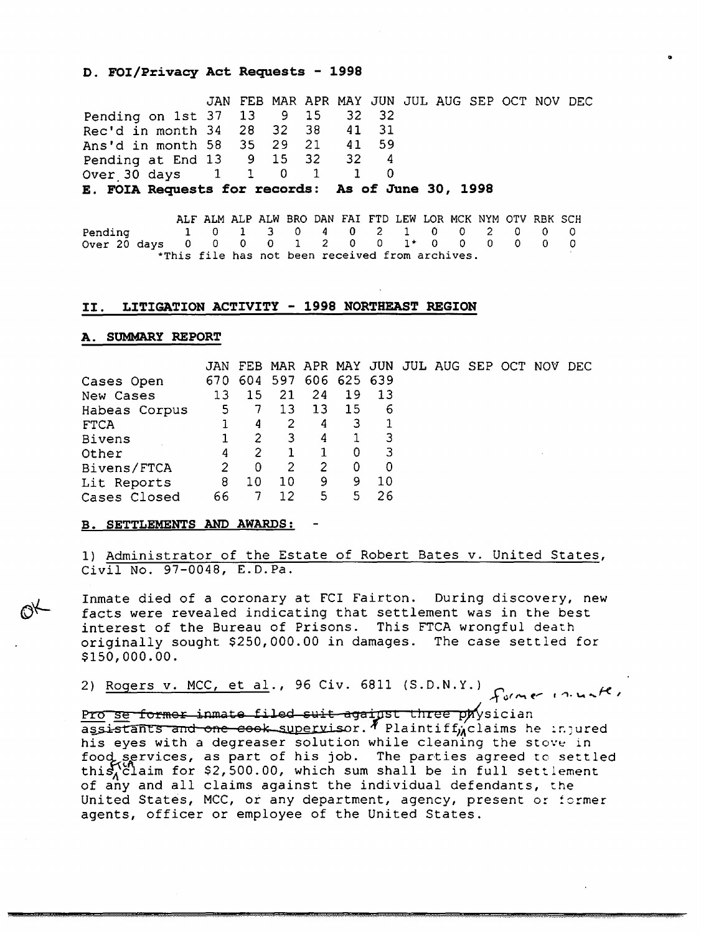#### D. FOI/Privacy Act Requests - 1998

|                                                   |  |  |  | JAN FEB MAR APR MAY JUN JUL AUG SEP OCT NOV DEC |  |  |
|---------------------------------------------------|--|--|--|-------------------------------------------------|--|--|
| Pending on 1st 37 13 9 15 32 32                   |  |  |  |                                                 |  |  |
| Rec'd in month 34 28 32 38 41 31                  |  |  |  |                                                 |  |  |
| Ans'd in month 58 35 29 21 41 59                  |  |  |  |                                                 |  |  |
| Pending at End 13 9 15 32 32 4                    |  |  |  |                                                 |  |  |
| Over 30 days 1 1 0 1 1 0                          |  |  |  |                                                 |  |  |
| E. FOIA Requests for records: As of June 30, 1998 |  |  |  |                                                 |  |  |

..

ALF ALM ALP ALW BRO DAN FAI FTD LEW LOR MCK NYM OTV RBK SCH<br>1 0 1 3 0 4 0 2 1 0 0 2 0 0 0 Pending 1 0 1 3 0 4 0 2 1 0 0 2 0 0 0 Over 20 days 0 0 0 0 1 2 0 0 1\* 0 0 0 0 0 0 Over 20 days  $0 \t 0 \t 0 \t 1 \t 2 \t 0 \t 0 \t 1* \t 0 \t 0$ <br>\*This file has not been received from archives.

#### II. LITIGATION ACTIVITY - 1998 NORTHEAST REGION

#### A. SUMMARY REPORT

|               | JAN |     |     |    |             |    |  |  | FEB MAR APR MAY JUN JUL AUG SEP OCT NOV DEC |  |
|---------------|-----|-----|-----|----|-------------|----|--|--|---------------------------------------------|--|
| Cases Open    | 670 | 604 | 597 |    | 606 625 639 |    |  |  |                                             |  |
| New Cases     | 13  | 15  | 21  | 24 | -19         | 13 |  |  |                                             |  |
| Habeas Corpus | 5   |     | 13  | 13 | 15          | 6  |  |  |                                             |  |
| <b>FTCA</b>   |     | 4   | 2   | 4  | 3           |    |  |  |                                             |  |
| Bivens        |     | 2   | 3   | 4  |             | 3  |  |  |                                             |  |
| Other         | 4   | 2   |     |    | 0           | 3  |  |  |                                             |  |
| Bivens/FTCA   |     | 0   | 2   | 2  | 0           | 0  |  |  |                                             |  |
| Lit Reports   | 8   | 10  | 10  | 9  | 9           | 10 |  |  |                                             |  |
| Cases Closed  | 66  |     | 12  | 5  | 5           | 26 |  |  |                                             |  |

#### B. SETTLEMENTS AND AWARDS:

1) Administrator of the Estate of Robert Bates v. United States, Civil No. 97-0048, E.D.Pa.

Inmate died of a coronary at FCI Fairton. During discovery, new facts were revealed indicating that settlement was in the best interest of the Bureau of Prisons. This FTCA wrongful death originally sought \$250,000.00 in damages. The case settled for \$150,000.00.

2) Rogers v. MCC, et al., 96 Civ. 6811 (S.D.N.Y.)  $f_{\text{c}}/m e^{-}$  ,  $n \mu \kappa$  /

Pro se former inmate filed suit against three p $w$  sician assistants and one cook supervisor.  $^p$  Plaintif $f_{\mu}$ claims he injured *his* eyes with a degreaser solution while cleaning the stove in food services, as part of his job. The parties agreed to settled thi $S_A^{10}$ laim for \$2,500.00, which sum shall be in full settlement of any and all claims against the individual defendants, the United States, MCC, or any department, agency, present or :ormer agents, officer or employee of the United States.

W4AiMM *...m.t .* ... kQi ; ; , u .I&ii":.a .ki.i. &J';IG.~ ,UQ"..J?4EMd.z,Q'Q%'Q,JGA iM.l&.S ,:;mMt . . . (Z... .. , . .c."'.::vili::&.(.... . «iRa i . <sup>J</sup> t. (3 <sup>i</sup> HZ.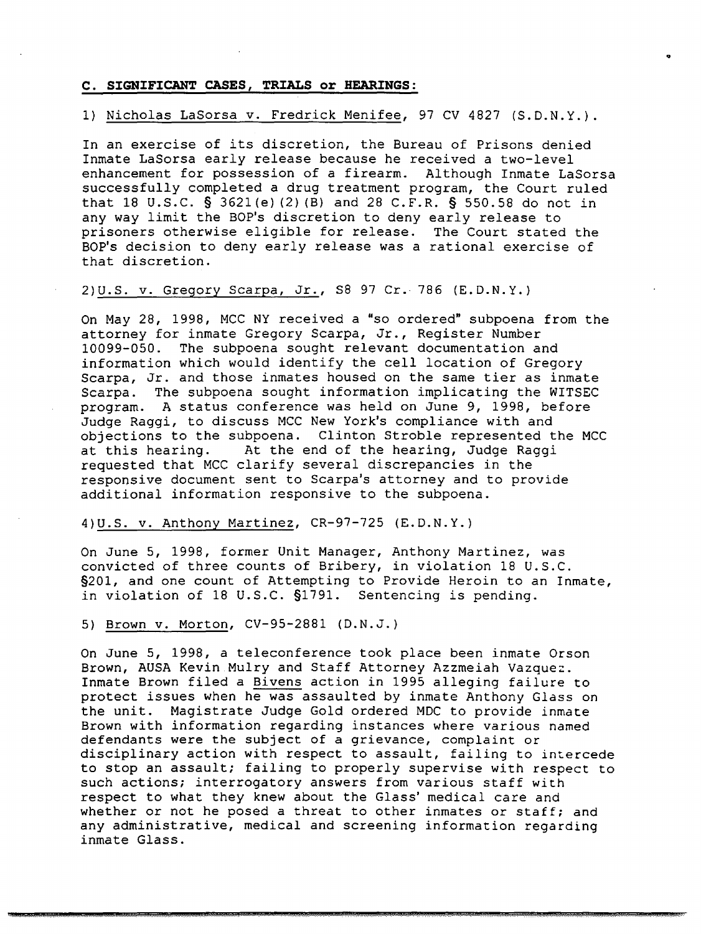#### C. SIGNIFICANT CASES, TRIALS or HEARINGS:

#### 1) Nicholas LaSorsa v. Fredrick Menifee, 97 CV 4827 (S.O.N.Y.).

..

In an exercise of its discretion, the Bureau of Prisons denied Inmate LaSorsa early release because he received a two-level enhancement for possession of a firearm. Although Inmate LaSorsa successfully completed a drug treatment program, the Court ruled that 18 U.S.C. § 3621(e) (2) (B) and 28 C.F.R. § 550.58 do not in any way limit the BOP's discretion to deny early release to prisoners otherwise eligible for release. The Court stated the BOP's decision to deny early release was a rational exercise of that discretion.

#### 2)U.S. v. Gregory Scarpa, Jr., S8 <sup>97</sup> Cr. <sup>786</sup> (E.D.N.Y.)

On May 28, 1998, MCC NY received a "so ordered" subpoena from the attorney for inmate Gregory Scarpa, Jr., Register Number<br>10099-050. The subpoena sought relevant documentation ar The subpoena sought relevant documentation and information which would identify the cell location of Gregory Scarpa, Jr. and those inmates housed on the same tier as inmate<br>Scarpa. The subpoena sought information implicating the WITSEC The subpoena sought information implicating the WITSEC program. A status conference was held on June 9, 1998, before Judge Raggi, to discuss MCC New York's compliance with and objections to the subpoena. Clinton Stroble represented the MCC at this hearing. At the end of the hearing, Judge Raggi requested that MCC clarify several discrepancies in the responsive document sent to Scarpa's attorney and to provide additional information responsive to the subpoena.

## 4)U.S. v. Anthony Martinez, CR-97-725 (E.D.N.Y.)

On June 5, 1998, former Unit Manager, Anthony Martinez, was convicted of three counts of Bribery, in violation 18 U.S.C. §201, and one count of Attempting to Provide Heroin to an Inmate, in violation of <sup>18</sup> U.S.C. §1791. Sentencing is pending.

#### 5) Brown v. Morton, *CV-95-2881* (D.N.J.)

On June 5, 1998, a teleconference took place been inmate Orson Brown, AUSA Kevin Mulry and Staff Attorney Azzmeiah Vazquez. Inmate Brown filed <sup>a</sup> Bivens action in 1995 alleging failure to protect issues when he was assaulted by inmate Anthony Glass on the unit. Magistrate Judge Gold ordered MDC to provide inmate Brown with information regarding instances where various named defendants were the subject of a grievance, complaint or disciplinary action with respect to assault, failing to intercede to stop an assault; failing to properly supervise with respect to such actions; interrogatory answers from various staff with respect to what they knew about the Glass' medical care and whether or not he posed a threat to other inmates or staff; and any administrative, medical and screening information regarding inmate Glass.

*i* ; !!l.i.itt ti.2 .. .t.dttiJl&.& iii t..mWJ.MM ..swaMP 1 \$,U.uI6.&.x:£i . qu.. ,. *i* t , [\$.Q,,(QQUI .. . ...k . .. ..... .'MAth .. ..... .. . *aU,S.4h* .. ... ..MV.3. iQSMlUXWMN4MW.\/: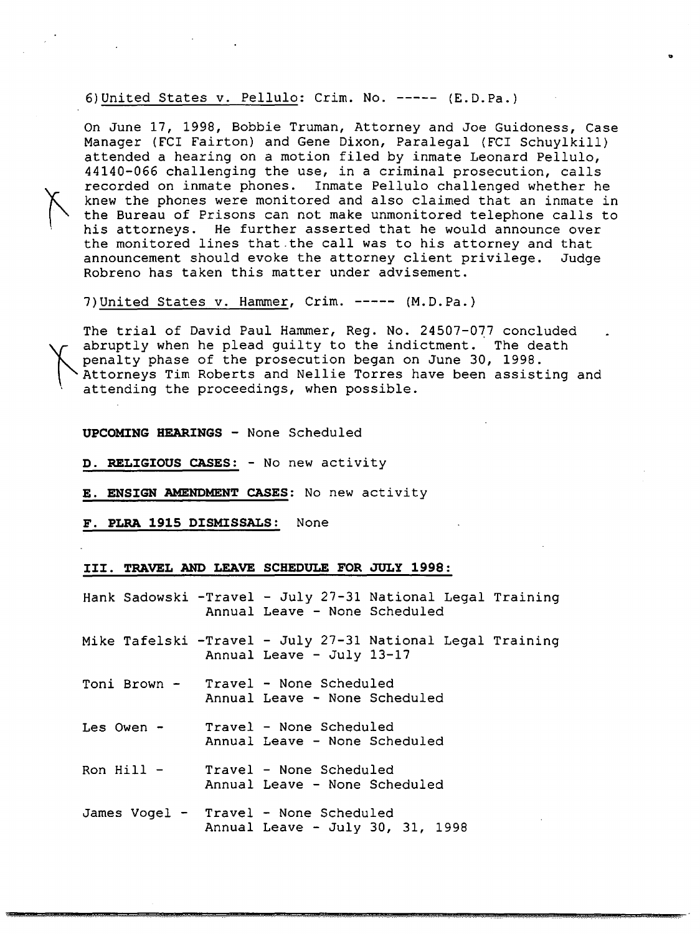6)United States v. Pellulo: Crim. No. ----- (E.D.Pa.)

On June 17, 1998, Bobbie Truman, Attorney and Joe Guidoness, Case Manager (FCI Fairton) and Gene Dixon, Paralegal (FCI Schuylkill) attended a hearing on a motion filed by inmate Leonard Pellulo, 44140-066 challenging the use, in a criminal prosecution, calls recorded on inmate phones. Inmate Pellulo challenged whether he knew the phones were monitored and also claimed that an inmate in the Bureau of Prisons can not make unmonitored telephone calls to his attorneys. He further asserted that he would announce over the monitored lines that.the call was to his attorney and that announcement should evoke the attorney client privilege. Judge Robreno has taken this matter under advisement.

7)United States v. Hammer, Crim. ----- (M.D.Pa.)

The trial of David Paul Hammer, Reg. No. 24507-077 concluded abruptly when he plead guilty to the indictment. The death penalty phase of the prosecution began on June 30, 1998. Attorneys Tim Roberts and Nellie Torres have been assisting and attending the proceedings, when possible.

#### UPCOMING HEARINGS - None Scheduled

D. RELIGIOUS CASES: - No new activity

#### E. ENSIGN AMENDMENT CASES: No new activity

F. PLRA 1915 DISMISSALS: None

#### III. TRAVEL AND LEAVE SCHEDULE FOR JULy 1998:

Hank Sadowski -Travel - July 27-31 National Legal Training Annual Leave - None Scheduled

Mike Tafelski -Travel - July 27-31 National Legal Training Annual Leave - July 13-17

- Toni Brown Travel None Scheduled Annual Leave - None Scheduled
- Les Owen Travel None Scheduled Annual Leave - None Scheduled
- Ron Hill Travel None Scheduled Annual Leave - None Scheduled
- James *Vogel* Travel None Scheduled Annual Leave - July 30, 31, 1998

*... ..LXi CAb. ..*cu.Jt....*.£,t.* :; .. n=>. \$.w.w.MMi4W&¥MM..tA.&..2Q&44&¥4M««. ....43", .."." ...3 J" "'.''''".uP.¥!!'.JMMlk4.MI&@@( .M.M?i6¥ ..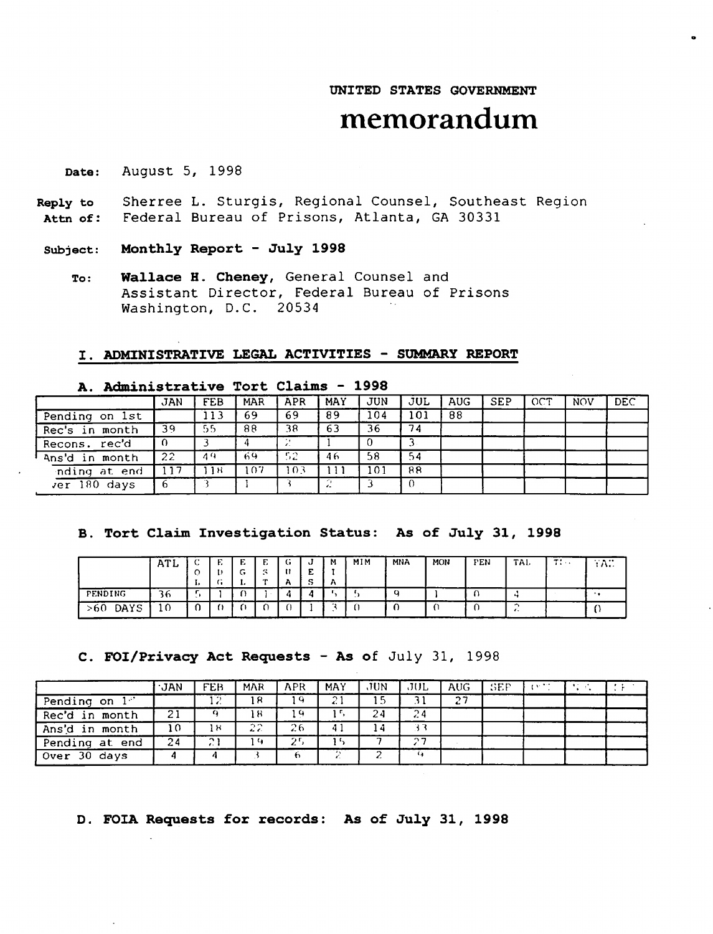## UNITED STATES GOVERNMENT

..

## **memorandum**

Date: August 5, 1998

Reply to Attn of: Sherree L. Sturgis, Regional Counsel, Southeast Region Federal Bureau of Prisons, Atlanta, GA 30331

Subject: Monthly Report - July 1998

To: Wallace H. Cheney, General Counsel and Assistant Director, Federal Bureau of Prisons Washington, D.C. 20534

#### I. ADMINISTRATIVE LEGAL ACTIVITIES - SUMMARY REPORT

| ---                  |            |      |            |                |            |     |          |            |            |     |            |            |  |  |
|----------------------|------------|------|------------|----------------|------------|-----|----------|------------|------------|-----|------------|------------|--|--|
|                      | <b>JAN</b> | FEB  | <b>MAR</b> | APR            | <b>MAY</b> | JUN | JUL      | <b>AUG</b> | <b>SEP</b> | OCT | <b>NOV</b> | <b>DEC</b> |  |  |
| Pending on 1st       |            | 113  | 69         | 69             | 89         | 104 | 101      | 88         |            |     |            |            |  |  |
| Rec's in month       | 39         | -55. | 88         | 38             | 63         | 36  | 74       |            |            |     |            |            |  |  |
| Recons. rec'd        |            |      |            |                |            |     |          |            |            |     |            |            |  |  |
| Ans'd in month       | 22         | 49   | 69         | -52            | 46         | 58  | 54       |            |            |     |            |            |  |  |
| inding at end        | 117        | 1 H  | 107        | 0 <sup>3</sup> |            | 101 | 88       |            |            |     |            |            |  |  |
| $\sqrt{er}$ 180 days |            |      |            |                |            |     | $\Omega$ |            |            |     |            |            |  |  |

## A. Administrative Tort Claims - 1998

B. Tort Claim Investigation Status: As of July 31, 1998

|             | <b>ATL</b> | -<br>$\circ$<br>., | <br>$\cdot$ $\cdot$ | $-$ | ⊷<br>$\overline{\phantom{a}}$<br>-- | v<br>$\overline{\phantom{a}}$<br>-<br>$\ddot{\phantom{0}}$<br>$\cdot$ | м<br>А | MIM | MNA | MON | PEN | TAL       | $-1$<br>$\cdots$ | $\cdots$<br>$\cdots$ |
|-------------|------------|--------------------|---------------------|-----|-------------------------------------|-----------------------------------------------------------------------|--------|-----|-----|-----|-----|-----------|------------------|----------------------|
| PENDING     | 36         |                    |                     |     |                                     | Д                                                                     |        |     | o   |     |     | $\ddot{}$ |                  |                      |
| DAYS<br>>60 | 10         |                    |                     |     |                                     |                                                                       |        | . . |     |     |     |           |                  |                      |

#### C. FOI/Privacy Act Requests - As of July 31, 1998

|                | ∙JAN | FEB             | <b>MAR</b> | APR | <b>MAY</b>   | JUN. | JUL           | AUG- | - SEP | <b>CONTRACTOR</b> | . |  |
|----------------|------|-----------------|------------|-----|--------------|------|---------------|------|-------|-------------------|---|--|
| Pending on 1"  |      | -2              | 18         | 19  | $\gamma$     | 15   |               | 27   |       |                   |   |  |
| Rec'd in month | 21   |                 | ⊦8         | - 9 |              | 24   | 24            |      |       |                   |   |  |
| Ans'd in month | 10   | 1 H             | 22         | 26  | $\mathbf{A}$ | ı 4  |               |      |       |                   |   |  |
| Pending at end | 24   | $\sim$<br>. . i | د) :       | 25  | 15           |      | $\sim$ $\sim$ |      |       |                   |   |  |
| Over 30 days   |      |                 |            | ŧ٦. |              |      |               |      |       |                   |   |  |

D. FOIA Requests for records: As of July 31, 1998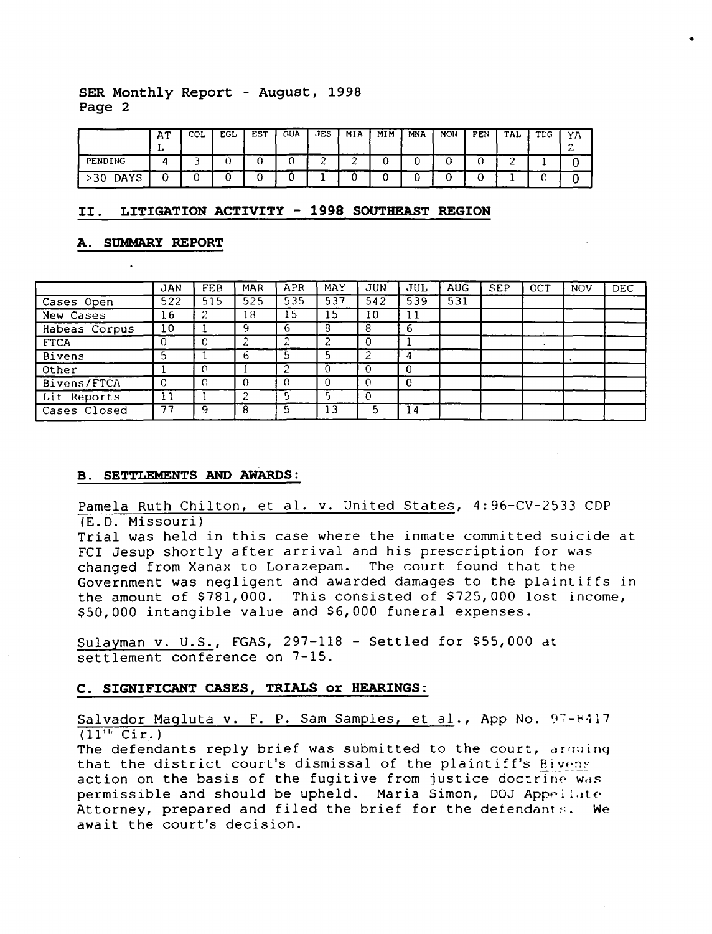#### SER Monthly Report - August, 1998 Page 2

|                         | AT | COL | EGL | <b>EST</b> | <b>GUA</b> | JES. | MIA | MIM | <b>MNA</b> | MON | PEN | TAL | TDG | ΥA     |
|-------------------------|----|-----|-----|------------|------------|------|-----|-----|------------|-----|-----|-----|-----|--------|
|                         | ≖  |     |     |            |            |      |     |     |            |     |     |     |     | -<br>- |
| PENDING                 |    |     | v   |            | ີ          |      |     |     |            |     |     | --  |     |        |
| DAYS<br>30 <sub>1</sub> |    |     |     |            |            |      | .,  |     |            |     |     |     |     |        |

..

#### II. LITIGATION ACTIVITY - 1998 SOUTHEAST REGION

#### A. SUMMARY REPORT

|               | <b>JAN</b> | FEB      | MAR | APR         | MAY | <b>JUN</b> | JUL      | <b>AUG</b> | SEP | OCT     | <b>NOV</b> | DEC |
|---------------|------------|----------|-----|-------------|-----|------------|----------|------------|-----|---------|------------|-----|
| Cases Open    | 522        | 515      | 525 | 535         | 537 | 542        | 539      | 531        |     |         |            |     |
| New Cases     | 16         | ؞        | 18  | 15          | 15  | 10         | 11       |            |     |         |            |     |
| Habeas Corpus | 10         |          | ۹   | 6           | 8   | 8          | 6        |            |     |         |            |     |
| <b>FTCA</b>   |            | $\Omega$ |     | $\sim$<br>▵ |     | -0         |          |            |     | $\cdot$ |            |     |
| <b>Bivens</b> |            |          | h   |             |     |            | 4        |            |     |         |            |     |
| Other         |            | $\Omega$ |     |             |     | -0         | $\Omega$ |            |     |         |            |     |
| Bivens/FTCA   |            | -0       |     |             |     |            | $\Omega$ |            |     |         |            |     |
| Lit Reports   | 11         |          |     |             |     | $\Omega$   |          |            |     |         |            |     |
| Cases Closed  | 77         | Q        | 8   | г,          | 13  |            | 14       |            |     |         |            |     |

#### B. SETTLEMENTS AND AWARDS:

Pamela Ruth Chilton, et al. v. United States, 4:96-CV-2533 CDP (E.O. Missouri)

Trial was held in this case where the inmate committed suicide at FCI Jesup shortly after arrival and his prescription for was changed from Xanax to Lorazepam. The court found that the Government was negligent and awarded damages to the plaintiffs in the amount of \$781,000. This consisted of \$725,000 lost income, \$50,000 intangible value and \$6,000 funeral expenses.

Sulayman v. U.S., FGAS, 297-118 - Settled for \$55,000 dt settlement conference on 7-15.

#### C. SIGNIFICANT CASES, TRIALS or HEARINGS:

Salvador Magluta v. F. P. Sam Samples, et al., App No. 97-8417  $(11'$ <sup>t</sup> Cir.)

The defendants reply brief was submitted to the court, arquing that the district court's dismissal of the plaintiff's Bivens action on the basis of the fugitive from justice doctrine was permissible and should be upheld. Maria Simon, DOJ Appellate Attorney, prepared and filed the brief for the defendants. We await the court's decision.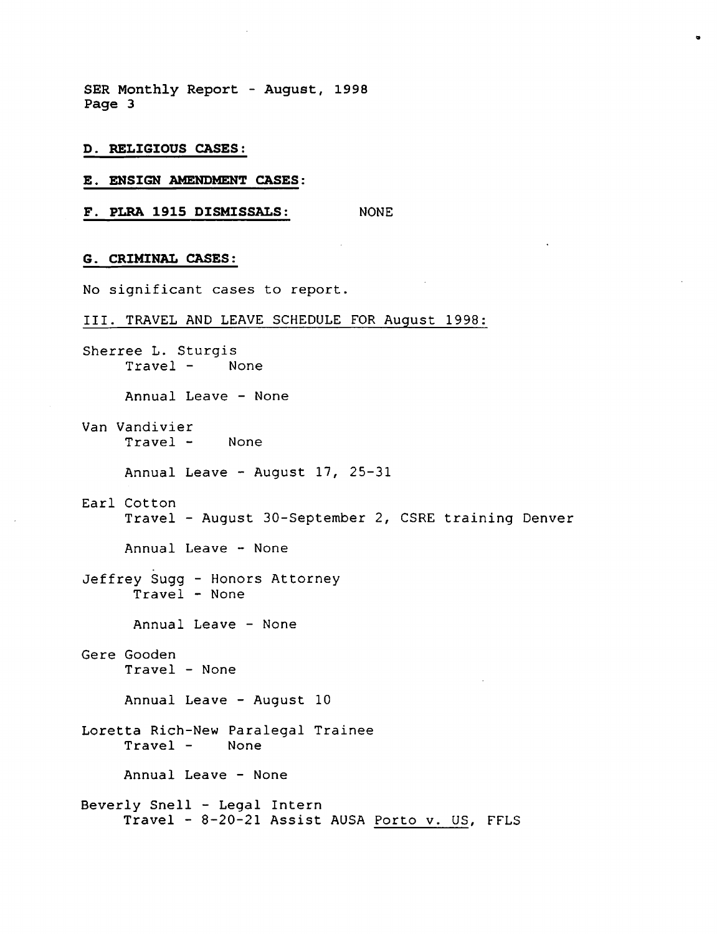**SER Monthly Report - August, 1998 Page 3**

- **D. RELIGIOUS CASES:**
- E. **ENSIGN AMENDMENT CASES:**
- **F. PLRA 1915 DISMISSALS:** NONE

#### **G. CRIMINAL CASES:**

No significant cases to report.

III. TRAVEL AND LEAVE SCHEDULE FOR August 1998:

..

Sherree L. Sturgis Travel - None Annual Leave - None Van Vandivier Travel - None Annual Leave - August 17, 25-31 Earl Cotton Travel - August 30-September 2, CSRE training Denver Annual Leave - None Jeffrey Sugg - Honors Attorney Travel - None Annual Leave - None Gere Gooden Travel - None Annual Leave - August 10 Loretta Rich-New Paralegal Trainee Travel - None Annual Leave - None Beverly Snell - Legal Intern Travel - 8-20-21 Assist AUSA Porto v. US, FFLS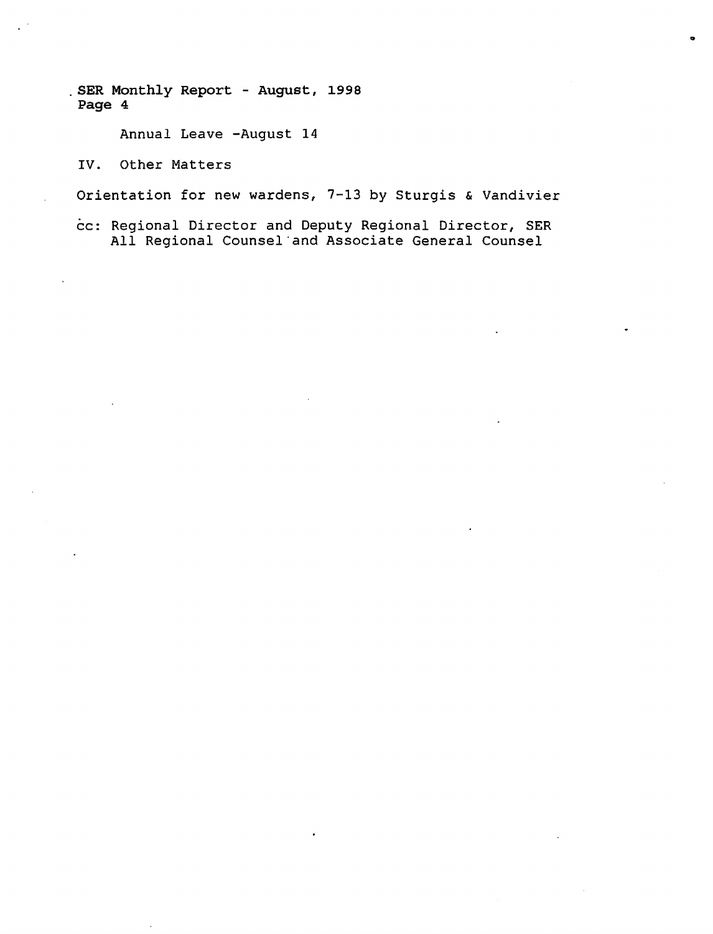SER Monthly Report - August, 1998 Page 4

Annual Leave -August 14

IV. Other Matters

Orientation for new wardens, 7-13 by Sturgis & Vandivier

cc: Regional Director and Deputy Regional Director, SER All Regional Counsel "and Associate General Counsel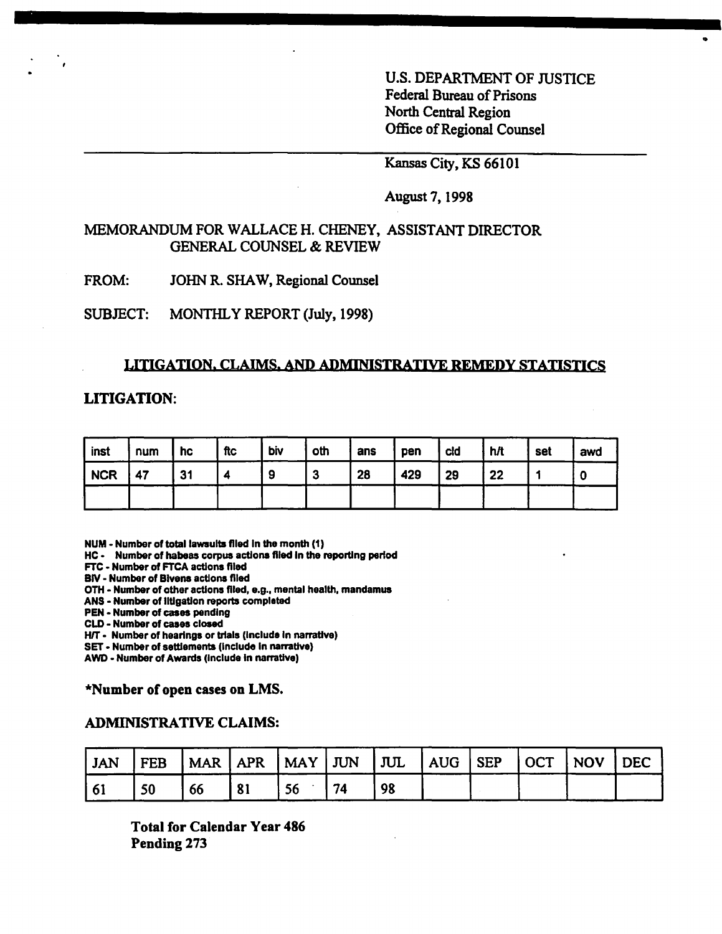U.S. DEPARTMENT OF JUSTICE Federal Bureau of Prisons North Central Region Office of Regional Counsel

o

## Kansas City, KS 66101

## August 7, 1998

## MEMORANDUM FOR WALLACE H. CHENEY, ASSISTANT DIRECTOR GENERAL COUNSEL & REVIEW

FROM: JOHN R. SHAW, Regional Counsel

SUBJECT: MONTHLY REPORT (July, 1998)

#### LITIGATION. CLAIMS. AND ADMINISTRATIVE REMEDY STATISTICS

## **LITIGATION:**

| inst       | num | hc | ftc | biv | oth | ans | pen | cld | h/t | set | awd |
|------------|-----|----|-----|-----|-----|-----|-----|-----|-----|-----|-----|
| <b>NCR</b> | 47  | 31 |     | 9   | 3   | 28  | 429 | 29  | 22  |     |     |
|            |     |    |     |     |     |     |     |     |     |     |     |

NUM - Number of total lawsuits filed In the month (1)

HC - Number of habeas corpus actions filed In the reporting period

FTC - Number of FTCA actions filed

BIY - Number of Bivens actions filed

OTH - Number of other actions filed, e.g., mental health, mandamus

ANS - Number of IIUgatlon reports completed

PEN - Number of cases pending

CLD - Number of cases closed

H/T - Number of hearings or trials (include in narrative)

SET - Number of settlements (include in narrative)

AWD - Number of Awards (include in narrative)

\*Number of open cases on LMS.

#### ADMINISTRATIVE CLAIMS:

| ' JAN |    |    |    |    |  | FEB   MAR   APR   MAY   JUN   JUL   AUG   SEP   OCT   NOV   DEC |  |
|-------|----|----|----|----|--|-----------------------------------------------------------------|--|
| 61    | 50 | 66 | 56 | 98 |  |                                                                 |  |

Total for Calendar Year 486 Pending 273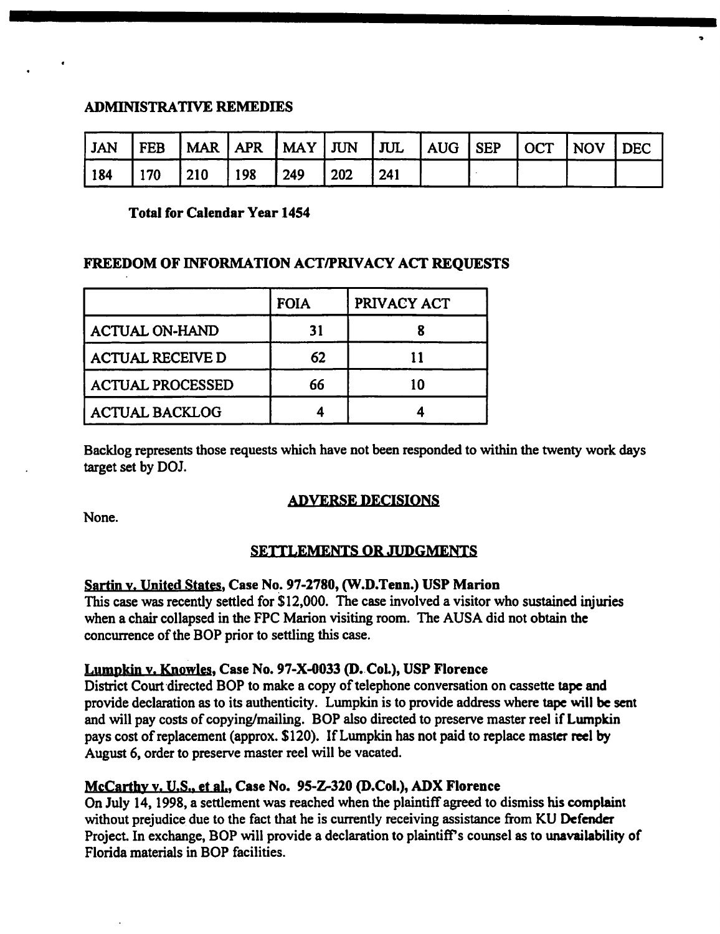## ADMINISTRATIVE REMEDIES

| JAN | $I$ FEB |             |     |     |     |     |  | MAR   APR   MAY   JUN   JUL   AUG   SEP   OCT   NOV   DEC |  |
|-----|---------|-------------|-----|-----|-----|-----|--|-----------------------------------------------------------|--|
| 184 | 170     | $\vert$ 210 | 198 | 249 | 202 | 241 |  |                                                           |  |

## Total for Calendar Year 1454

## FREEDOM OF INFORMATION ACTIPRIVACY ACT REQUESTS

|                         | <b>FOIA</b> | PRIVACY ACT |
|-------------------------|-------------|-------------|
| <b>ACTUAL ON-HAND</b>   | 31          |             |
| <b>ACTUAL RECEIVE D</b> | 62          |             |
| <b>ACTUAL PROCESSED</b> | 66          |             |
| <b>ACTUAL BACKLOG</b>   |             |             |

Backlog represents those requests which have not been responded to within the twenty work days target set by DOl

## ADVERSE DECISIONS

None.

## SETTLEMENTS OR JUDGMENTS

## Sartin y. United States, Case No. 97-2780, (W.D.Tenn.) USP Marion

This case was recently settled for \$12,000. The case involved a visitor who sustained injuries when a chair collapsed in the FPC Marion visiting room. The AUSA did not obtain the concurrence of the BOP prior to settling this case.

## Lumpkin v. Knowles, Case No. 97-X-0033 (D. CoL), USP Florence

District Court directed BOP to make a copy of telephone conversation on cassette tape and provide declaration as to its authenticity. Lumpkin is to provide address where tape will be sent and will pay costs of copying/mailing. BOP also directed to preserve master reel if Lumpkin pays cost of replacement (approx. \$120). If Lumpkin has not paid to replace master reel by August 6, order to preserve master reel will be vacated.

## McCarthy y. U.S.. et al., Case No. 95-Z-320 (D.Col.), ADX Florence

On July 14, 1998, a settlement was reached when the plaintiff agreed to dismiss his complaint without prejudice due to the fact that he is currently receiving assistance from KU Defender Project. In exchange, BOP will provide a declaration to plaintiff's counsel as to unavailability of Florida materials in BOP facilities.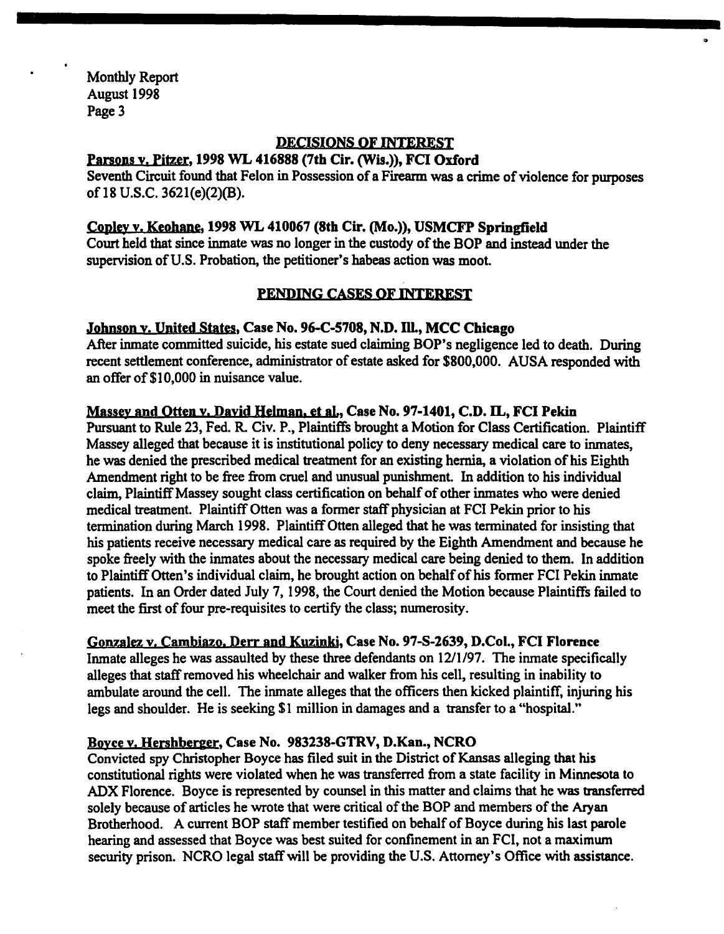Monthly Report August 1998 Page 3

## DECISIONS OF INTEREST

..

Parsons v. Pitzer, 1998 WL 416888 (7th Cir. (Wis.)), FCI Oxford

Seventh Circuit found that Felon in Possession of a Firearm was a crime of violence for purposes of 18 U.S.C. 3621(e)(2)(B).

## Copley v. Keohane, 1998 WL 410067 (8th Cir. (Mo.)), USMCFP Springfield

Court held that since inmate was no longer in the custody of the BOP and instead under the supervision of U.S. Probation, the petitioner's habeas action was moot.

## PENDING CASES OF INTEREST

## Johnson y. United States, Case No. 96-C-S708, N.D. IlL, MCC Chicago

After inmate committed suicide, his estate sued claiming BOP's negligence led to death. During recent settlement conference, administrator of estate asked for \$800,000. AUSA responded with an offer of \$10,000 in nuisance value.

## Massey and Otten v. David Helman, et al., Case No. 97-1401, C.D. IL, FCI Pekin

Pursuant to Rule 23, Fed. R. Civ. P., Plaintiffs brought a Motion for Class Certification. Plaintiff Massey alleged that because it is institutional policy to deny necessary medical care to inmates, he was denied the prescribed medical treatment for an existing hernia, a violation of his Eighth Amendment right to be free from cruel and unusual punishment. In addition to his individual claim, Plaintiff Massey sought class certification on behalf of other inmates who were denied medical treatment. Plaintiff Otten was a former staff physician at FCI Pekin prior to his termination during March 1998. Plaintiff Otten alleged that he was terminated for insisting that his patients receive necessary medical care as required by the Eighth Amendment and because he spoke freely with the inmates about the necessary medical care being denied to them. In addition to PlaintiffOtten's individual claim, he brought action on behalfofhis former FCI Pekin imnate patients. In an Order dated July 7, 1998, the Court denied the Motion because Plaintiffs failed to meet the first of four pre-requisites to certify the class; numerosity.

## Gonzalez v. Cambiazo. Derr and Kuzinki, Case No. 97-S-2639, D.Col., FCI Florence

Inmate alleges he was assaulted by these three defendants on 12/1/97. The inmate specifically alleges that staffremoved his wheelchair and walker from his cell, resulting in inability to ambulate around the cell. The inmate alleges that the officers then kicked plaintiff, injuring his legs and shoulder. He is seeking \$1 million in damages and a transfer to a "hospital."

## Boyce y. Hershberger, Case No. 983238-GTRV, D.Kan., NCRO

Convicted spy Christopher Boyce has filed suit in the District of Kansas alleging that his constitutional rights were violated when he was transferred from a state facility in Minnesota to ADX Florence. Boyce is represented by counsel in this matter and claims that he was transferred solely because of articles he wrote that were critical of the BOP and members of the Aryan Brotherhood. A current BOP staff member testified on behalf of Boyce during his last parole hearing and assessed that Boyce was best suited for confinement in an FCI, not a maximum security prison. NCRO legal staff will be providing the U.S. Attorney's Office with assistance.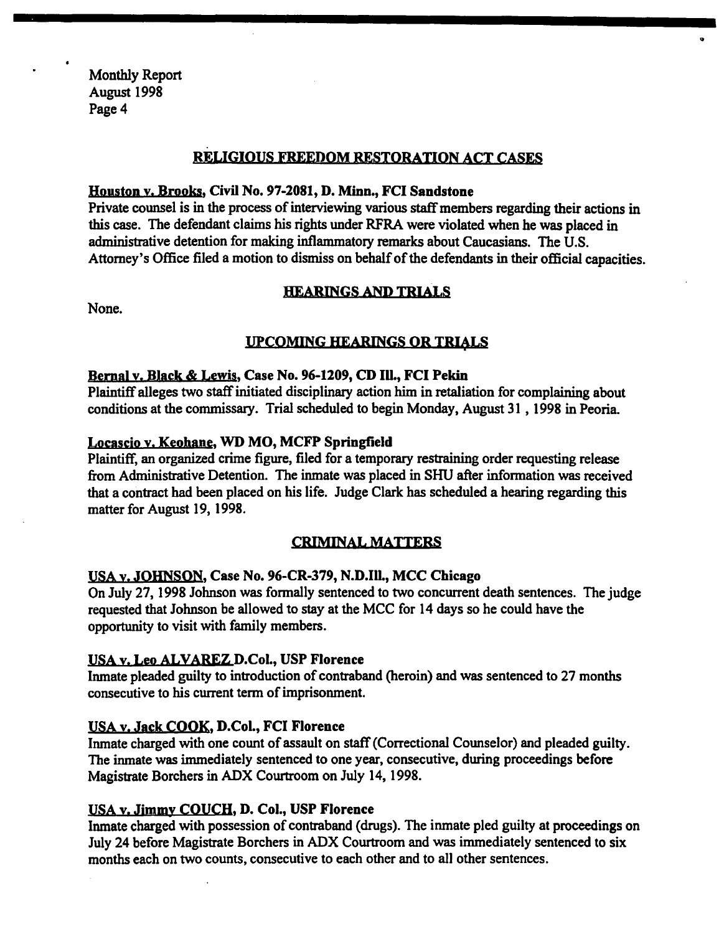Monthly Report August 1998 Page 4

## RELIGIOUS FREEDOM RESTORATION ACT CASES

..

## Houston y. Brooks, Civil No. 97-2081, D. Minn., FCI Sandstone

Private counsel is in the process of interviewing various staff members regarding their actions in this case. The defendant claims his rights under RFRA were violated when he was placed in administrative detention for making inflammatory remarks about Caucasians. The U.S. Attorney's Office filed a motion to dismiss on behalf of the defendants in their official capacities.

## HEARINGS AND TRIALS

None.

## UPCOMING HEARINGS OR TRIALS

## Bernal y. Black & Lewis, Case No. 96-1209, CD Ill., FCI Pekin

Plaintiff alleges two staffinitiated disciplinary action him in retaliation for complaining about conditions at the commissary. Trial scheduled to begin Monday, August 31 , 1998 in Peoria

## Locascio y. Keohane, WD MO, MCFP Springfield

Plaintiff, an organized crime figure, filed for a temporary restraining order requesting release from Administrative Detention. The inmate was placed in SHU after information was received that a contract bad been placed on his life. Judge Clark has scheduled a hearing regarding this matter for August 19, 1998.

## CRIMINAL MATTERS

## USA y. JOHNSON, Case No. 96-CR-379, N.D.In., MCC Chicago

On July 27, 1998 Johnson was formally sentenced to two concurrent death sentences. The judge requested that Johnson be allowed to stay at the MCC for 14 days so he could have the opportunity to visit with family members.

## USA y. Leo ALVAREZ D.Col., USP Florence

Inmate pleaded guilty to introduction of contraband (heroin) and was sentenced to 27 months consecutive to his current term of imprisonment.

## USA v. Jack COOK, D.Col., FCI Florence

Inmate charged with one count of assault on staff (Correctional Counselor) and pleaded guilty. The inmate was immediately sentenced to one year, consecutive, during proceedings before Magistrate Borchers in ADX Courtroom on July 14, 1998.

## USA y. Jimmy COUCH, D. Col., USP Florence

Inmate charged with possession of contraband (drugs). The inmate pled guilty at proceedings on July 24 before Magistrate Borchers in ADX Courtroom and was immediately sentenced to six months each on two counts, consecutive to each other and to all other sentences.